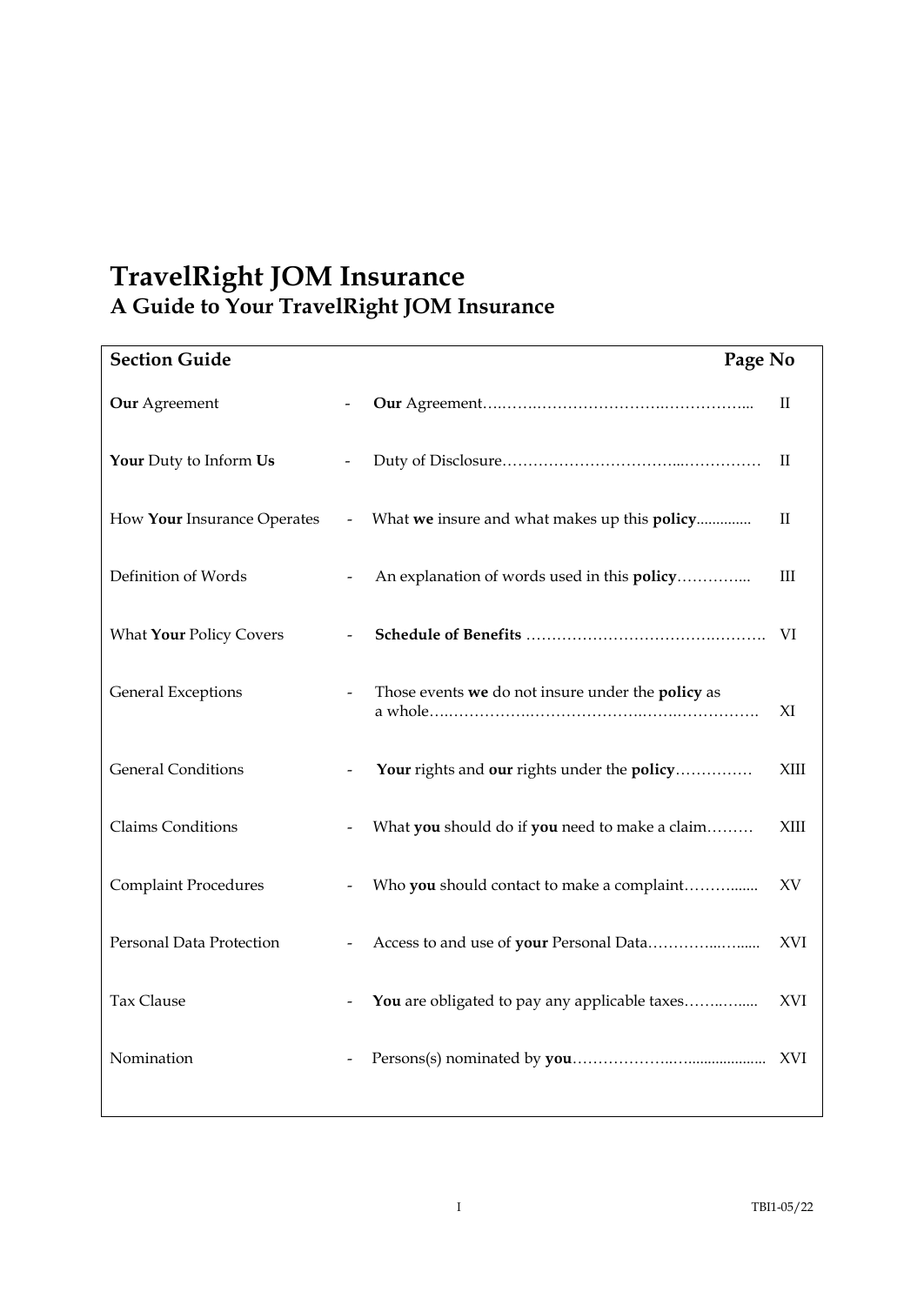# **TravelRight JOM Insurance A Guide to Your TravelRight JOM Insurance**

| <b>Section Guide</b>        | Page No                                           |             |
|-----------------------------|---------------------------------------------------|-------------|
| Our Agreement               |                                                   | П           |
| Your Duty to Inform Us      |                                                   | П           |
| How Your Insurance Operates | What we insure and what makes up this policy      | $_{\rm II}$ |
| Definition of Words         | An explanation of words used in this policy       | $\rm III$   |
| What Your Policy Covers     |                                                   | VI          |
| <b>General Exceptions</b>   | Those events we do not insure under the policy as | XI          |
| <b>General Conditions</b>   | Your rights and our rights under the policy       | XIII        |
| Claims Conditions           | What you should do if you need to make a claim    | XIII        |
| <b>Complaint Procedures</b> | Who you should contact to make a complaint        | XV          |
| Personal Data Protection    |                                                   | XVI         |
| <b>Tax Clause</b>           | You are obligated to pay any applicable taxes     | XVI         |
| Nomination                  |                                                   | XVI         |
|                             |                                                   |             |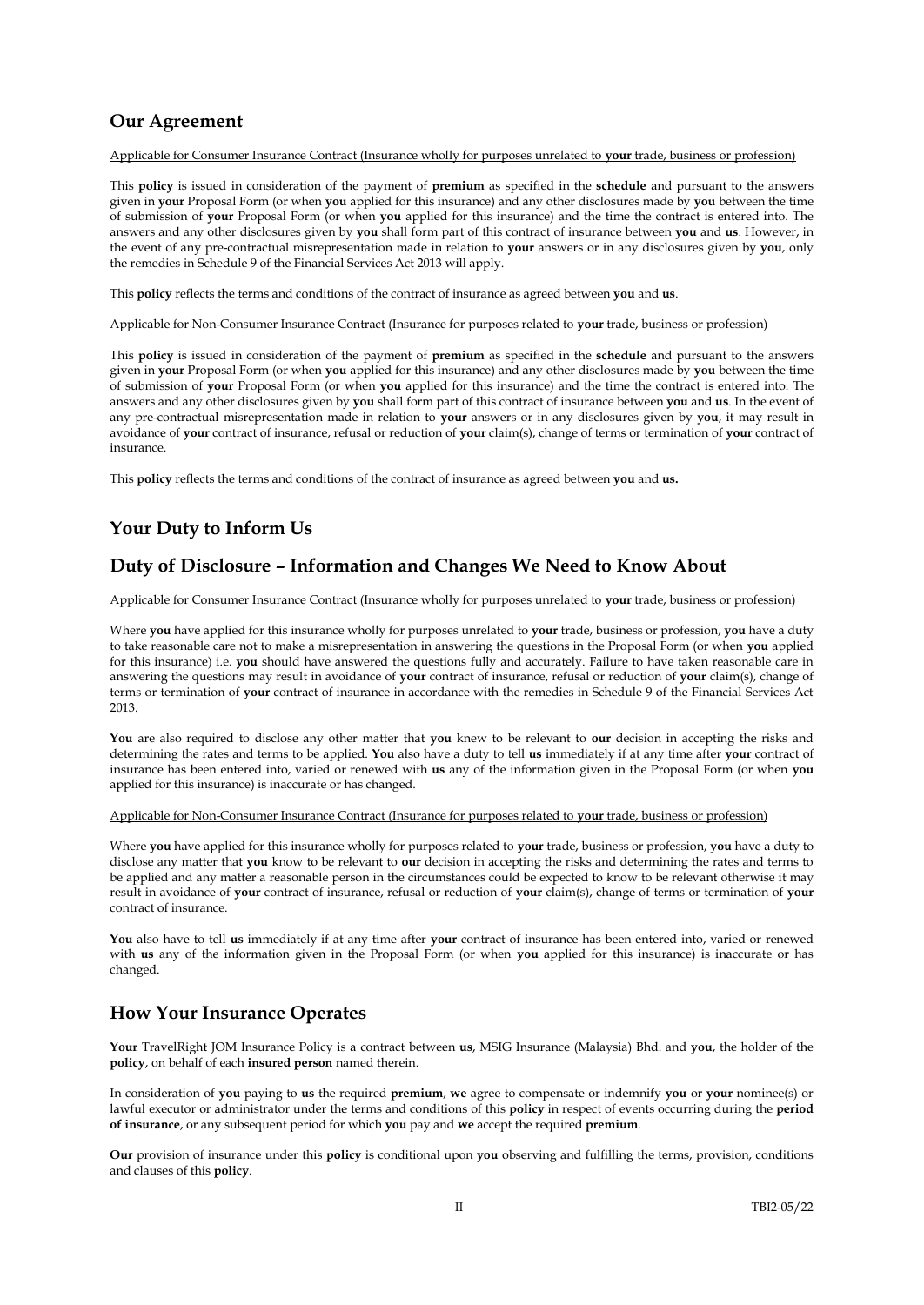# **Our Agreement**

#### Applicable for Consumer Insurance Contract (Insurance wholly for purposes unrelated to **your** trade, business or profession)

This **policy** is issued in consideration of the payment of **premium** as specified in the **schedule** and pursuant to the answers given in **your** Proposal Form (or when **you** applied for this insurance) and any other disclosures made by **you** between the time of submission of **your** Proposal Form (or when **you** applied for this insurance) and the time the contract is entered into. The answers and any other disclosures given by **you** shall form part of this contract of insurance between **you** and **us**. However, in the event of any pre-contractual misrepresentation made in relation to **your** answers or in any disclosures given by **you**, only the remedies in Schedule 9 of the Financial Services Act 2013 will apply.

This **policy** reflects the terms and conditions of the contract of insurance as agreed between **you** and **us**.

#### Applicable for Non-Consumer Insurance Contract (Insurance for purposes related to **your** trade, business or profession)

This **policy** is issued in consideration of the payment of **premium** as specified in the **schedule** and pursuant to the answers given in **your** Proposal Form (or when **you** applied for this insurance) and any other disclosures made by **you** between the time of submission of **your** Proposal Form (or when **you** applied for this insurance) and the time the contract is entered into. The answers and any other disclosures given by **you** shall form part of this contract of insurance between **you** and **us**. In the event of any pre-contractual misrepresentation made in relation to **your** answers or in any disclosures given by **you**, it may result in avoidance of **your** contract of insurance, refusal or reduction of **your** claim(s), change of terms or termination of **your** contract of insurance.

This **policy** reflects the terms and conditions of the contract of insurance as agreed between **you** and **us.**

# **Your Duty to Inform Us**

# **Duty of Disclosure – Information and Changes We Need to Know About**

Applicable for Consumer Insurance Contract (Insurance wholly for purposes unrelated to **your** trade, business or profession)

Where **you** have applied for this insurance wholly for purposes unrelated to **your** trade, business or profession, **you** have a duty to take reasonable care not to make a misrepresentation in answering the questions in the Proposal Form (or when **you** applied for this insurance) i.e. **you** should have answered the questions fully and accurately. Failure to have taken reasonable care in answering the questions may result in avoidance of **your** contract of insurance, refusal or reduction of **your** claim(s), change of terms or termination of **your** contract of insurance in accordance with the remedies in Schedule 9 of the Financial Services Act 2013.

**You** are also required to disclose any other matter that **you** knew to be relevant to **our** decision in accepting the risks and determining the rates and terms to be applied. **You** also have a duty to tell **us** immediately if at any time after **your** contract of insurance has been entered into, varied or renewed with **us** any of the information given in the Proposal Form (or when **you**  applied for this insurance) is inaccurate or has changed.

#### Applicable for Non-Consumer Insurance Contract (Insurance for purposes related to **your** trade, business or profession)

Where **you** have applied for this insurance wholly for purposes related to **your** trade, business or profession, **you** have a duty to disclose any matter that **you** know to be relevant to **our** decision in accepting the risks and determining the rates and terms to be applied and any matter a reasonable person in the circumstances could be expected to know to be relevant otherwise it may result in avoidance of **your** contract of insurance, refusal or reduction of **your** claim(s), change of terms or termination of **your**  contract of insurance.

**You** also have to tell **us** immediately if at any time after **your** contract of insurance has been entered into, varied or renewed with **us** any of the information given in the Proposal Form (or when **you** applied for this insurance) is inaccurate or has changed.

# **How Your Insurance Operates**

**Your** TravelRight JOM Insurance Policy is a contract between **us**, MSIG Insurance (Malaysia) Bhd. and **you**, the holder of the **policy**, on behalf of each **insured person** named therein.

In consideration of **you** paying to **us** the required **premium**, **we** agree to compensate or indemnify **you** or **your** nominee(s) or lawful executor or administrator under the terms and conditions of this **policy** in respect of events occurring during the **period of insurance**, or any subsequent period for which **you** pay and **we** accept the required **premium**.

**Our** provision of insurance under this **policy** is conditional upon **you** observing and fulfilling the terms, provision, conditions and clauses of this **policy**.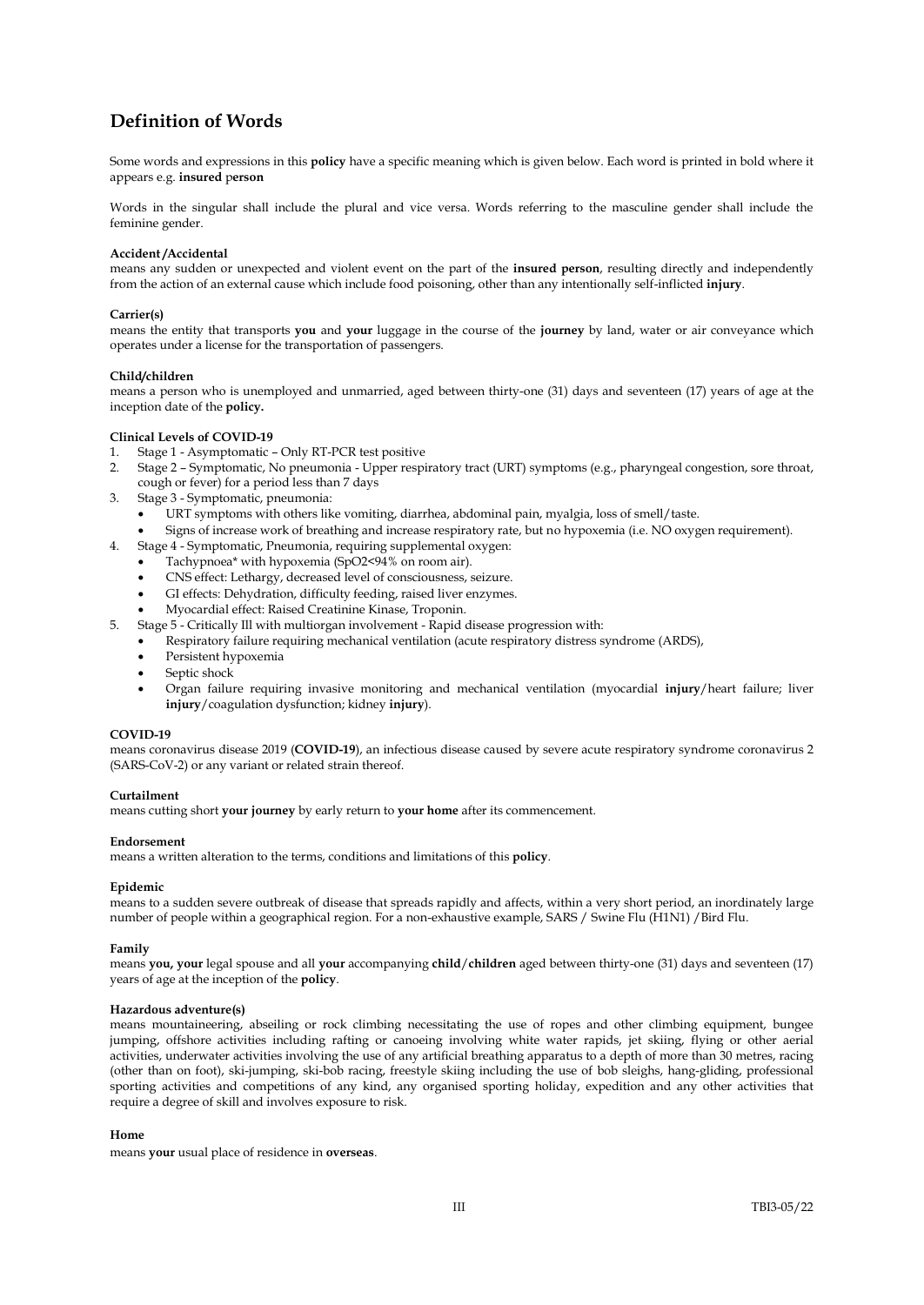# **Definition of Words**

Some words and expressions in this **policy** have a specific meaning which is given below. Each word is printed in bold where it appears e.g. **insured** p**erson**

Words in the singular shall include the plural and vice versa. Words referring to the masculine gender shall include the feminine gender.

## **Accident /Accidental**

means any sudden or unexpected and violent event on the part of the **insured person**, resulting directly and independently from the action of an external cause which include food poisoning, other than any intentionally self-inflicted **injury**.

# **Carrier(s)**

means the entity that transports **you** and **your** luggage in the course of the **journey** by land, water or air conveyance which operates under a license for the transportation of passengers.

# **Child/children**

means a person who is unemployed and unmarried, aged between thirty-one (31) days and seventeen (17) years of age at the inception date of the **policy.**

# **Clinical Levels of COVID-19**

- 1. Stage 1 Asymptomatic Only RT-PCR test positive
- 2. Stage 2 Symptomatic, No pneumonia Upper respiratory tract (URT) symptoms (e.g., pharyngeal congestion, sore throat, cough or fever) for a period less than 7 days
- 3. Stage 3 Symptomatic, pneumonia:
	- URT symptoms with others like vomiting, diarrhea, abdominal pain, myalgia, loss of smell/taste.
	- Signs of increase work of breathing and increase respiratory rate, but no hypoxemia (i.e. NO oxygen requirement).
- 4. Stage 4 Symptomatic, Pneumonia, requiring supplemental oxygen:
	- Tachypnoea\* with hypoxemia (SpO2<94% on room air).
		- CNS effect: Lethargy, decreased level of consciousness, seizure.
		- GI effects: Dehydration, difficulty feeding, raised liver enzymes.
		- Myocardial effect: Raised Creatinine Kinase, Troponin.
- 5. Stage 5 Critically Ill with multiorgan involvement Rapid disease progression with:
	- Respiratory failure requiring mechanical ventilation (acute respiratory distress syndrome (ARDS),
	- Persistent hypoxemia
	- Septic shock
	- Organ failure requiring invasive monitoring and mechanical ventilation (myocardial **injury**/heart failure; liver **injury**/coagulation dysfunction; kidney **injury**).

## **COVID-19**

means coronavirus disease 2019 (**COVID-19**), an infectious disease caused by severe acute respiratory syndrome coronavirus 2 (SARS-CoV-2) or any variant or related strain thereof.

## **Curtailment**

means cutting short **your journey** by early return to **your home** after its commencement.

## **Endorsement**

means a written alteration to the terms, conditions and limitations of this **policy**.

## **Epidemic**

means to a sudden severe outbreak of disease that spreads rapidly and affects, within a very short period, an inordinately large number of people within a geographical region. For a non-exhaustive example, SARS / Swine Flu (H1N1) /Bird Flu.

## **Family**

means **you, your** legal spouse and all **your** accompanying **child**/**children** aged between thirty-one (31) days and seventeen (17) years of age at the inception of the **policy**.

## **Hazardous adventure(s)**

means mountaineering, abseiling or rock climbing necessitating the use of ropes and other climbing equipment, bungee jumping, offshore activities including rafting or canoeing involving white water rapids, jet skiing, flying or other aerial activities, underwater activities involving the use of any artificial breathing apparatus to a depth of more than 30 metres, racing (other than on foot), ski-jumping, ski-bob racing, freestyle skiing including the use of bob sleighs, hang-gliding, professional sporting activities and competitions of any kind, any organised sporting holiday, expedition and any other activities that require a degree of skill and involves exposure to risk.

## **Home**

means **your** usual place of residence in **overseas**.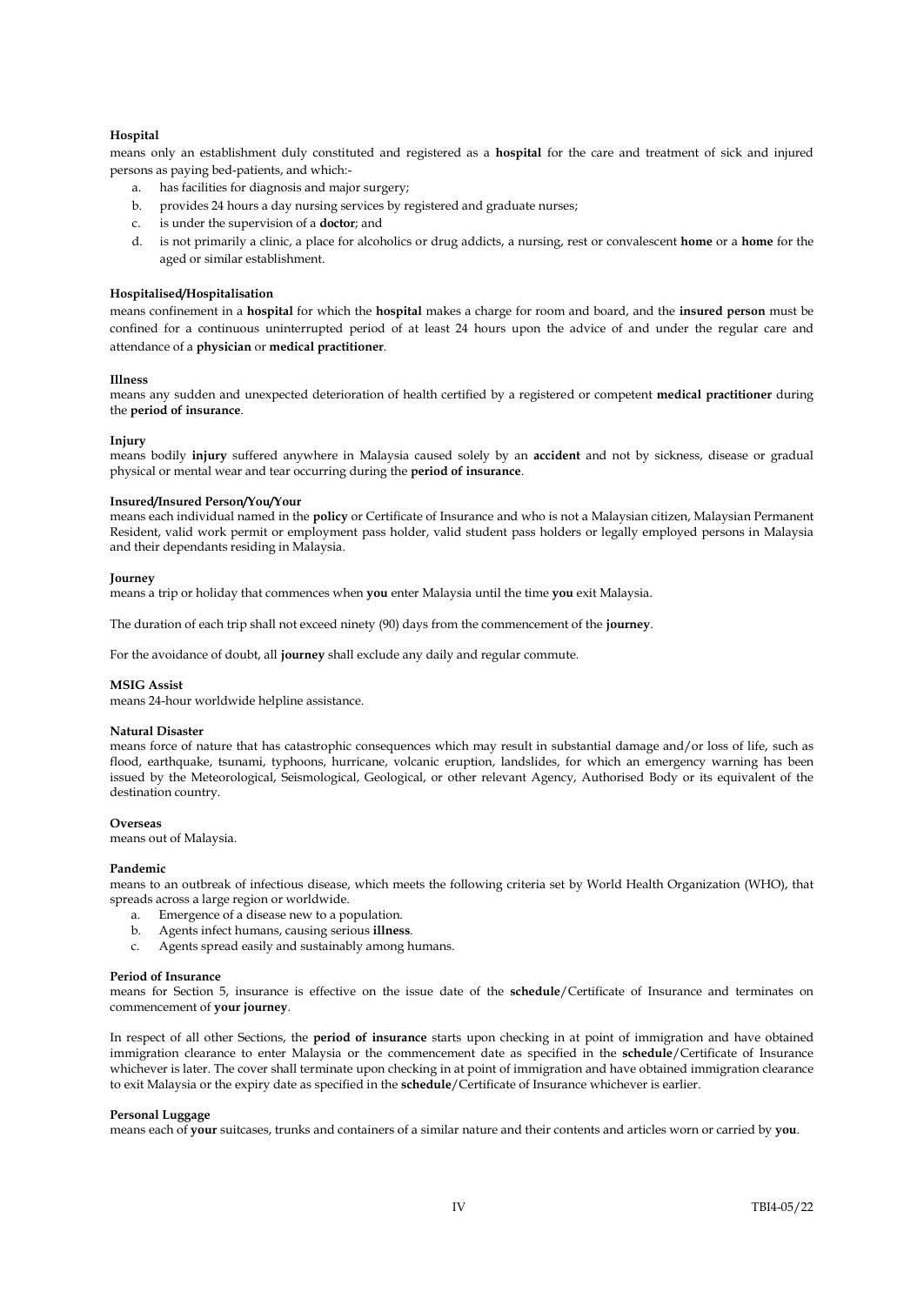# **Hospital**

means only an establishment duly constituted and registered as a **hospital** for the care and treatment of sick and injured persons as paying bed-patients, and which:-

- a. has facilities for diagnosis and major surgery;
- b. provides 24 hours a day nursing services by registered and graduate nurses;
- c. is under the supervision of a **doctor**; and
- d. is not primarily a clinic, a place for alcoholics or drug addicts, a nursing, rest or convalescent **home** or a **home** for the aged or similar establishment.

## **Hospitalised/Hospitalisation**

means confinement in a **hospital** for which the **hospital** makes a charge for room and board, and the **insured person** must be confined for a continuous uninterrupted period of at least 24 hours upon the advice of and under the regular care and attendance of a **physician** or **medical practitioner**.

## **Illness**

means any sudden and unexpected deterioration of health certified by a registered or competent **medical practitioner** during the **period of insurance**.

## **Injury**

means bodily **injury** suffered anywhere in Malaysia caused solely by an **accident** and not by sickness, disease or gradual physical or mental wear and tear occurring during the **period of insurance**.

# **Insured/Insured Person/You/Your**

means each individual named in the **policy** or Certificate of Insurance and who is not a Malaysian citizen, Malaysian Permanent Resident, valid work permit or employment pass holder, valid student pass holders or legally employed persons in Malaysia and their dependants residing in Malaysia.

#### **Journey**

means a trip or holiday that commences when **you** enter Malaysia until the time **you** exit Malaysia.

The duration of each trip shall not exceed ninety (90) days from the commencement of the **journey**.

For the avoidance of doubt, all **journey** shall exclude any daily and regular commute.

#### **MSIG Assist**

means 24-hour worldwide helpline assistance.

#### **Natural Disaster**

means force of nature that has catastrophic consequences which may result in substantial damage and/or loss of life, such as flood, earthquake, tsunami, typhoons, hurricane, volcanic eruption, landslides, for which an emergency warning has been issued by the Meteorological, Seismological, Geological, or other relevant Agency, Authorised Body or its equivalent of the destination country.

#### **Overseas**

means out of Malaysia.

## **Pandemic**

means to an outbreak of infectious disease, which meets the following criteria set by World Health Organization (WHO), that spreads across a large region or worldwide.

- a. Emergence of a disease new to a population.
- b. Agents infect humans, causing serious **illness**.
- c. Agents spread easily and sustainably among humans.

#### **Period of Insurance**

means for Section 5, insurance is effective on the issue date of the **schedule**/Certificate of Insurance and terminates on commencement of **your journey**.

In respect of all other Sections, the **period of insurance** starts upon checking in at point of immigration and have obtained immigration clearance to enter Malaysia or the commencement date as specified in the **schedule**/Certificate of Insurance whichever is later. The cover shall terminate upon checking in at point of immigration and have obtained immigration clearance to exit Malaysia or the expiry date as specified in the **schedule**/Certificate of Insurance whichever is earlier.

#### **Personal Luggage**

means each of **your** suitcases, trunks and containers of a similar nature and their contents and articles worn or carried by **you**.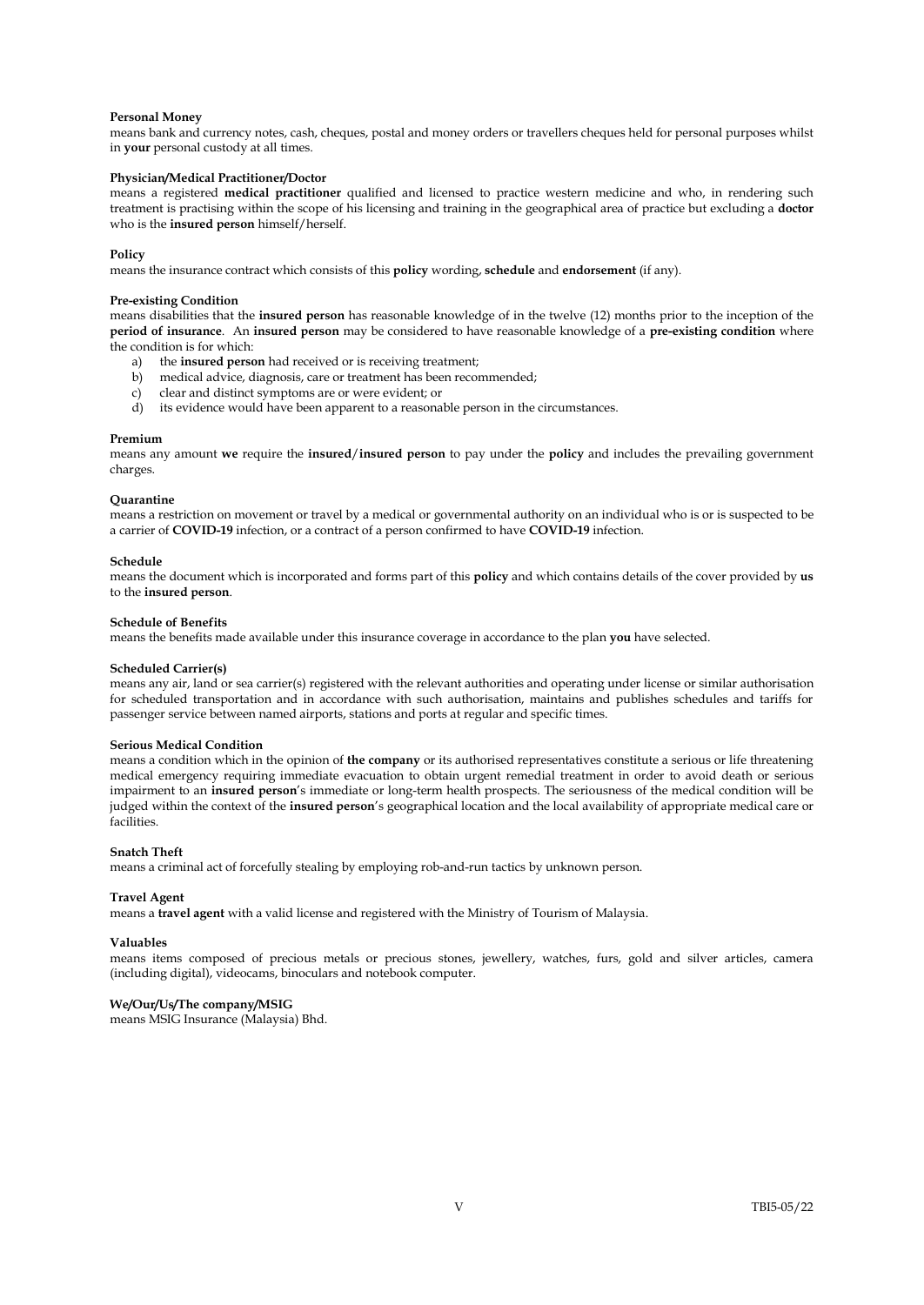## **Personal Money**

means bank and currency notes, cash, cheques, postal and money orders or travellers cheques held for personal purposes whilst in **your** personal custody at all times.

## **Physician/Medical Practitioner/Doctor**

means a registered **medical practitioner** qualified and licensed to practice western medicine and who, in rendering such treatment is practising within the scope of his licensing and training in the geographical area of practice but excluding a **doctor** who is the **insured person** himself/herself.

## **Policy**

means the insurance contract which consists of this **policy** wording, **schedule** and **endorsement** (if any).

#### **Pre-existing Condition**

means disabilities that the **insured person** has reasonable knowledge of in the twelve (12) months prior to the inception of the **period of insurance**. An **insured person** may be considered to have reasonable knowledge of a **pre-existing condition** where the condition is for which:

- a) the **insured person** had received or is receiving treatment;
- b) medical advice, diagnosis, care or treatment has been recommended;
- c) clear and distinct symptoms are or were evident; or
- d) its evidence would have been apparent to a reasonable person in the circumstances.

#### **Premium**

means any amount **we** require the **insured**/**insured person** to pay under the **policy** and includes the prevailing government charges.

## **Quarantine**

means a restriction on movement or travel by a medical or governmental authority on an individual who is or is suspected to be a carrier of **COVID-19** infection, or a contract of a person confirmed to have **COVID-19** infection.

## **Schedule**

means the document which is incorporated and forms part of this **policy** and which contains details of the cover provided by **us** to the **insured person**.

## **Schedule of Benefits**

means the benefits made available under this insurance coverage in accordance to the plan **you** have selected.

## **Scheduled Carrier(s)**

means any air, land or sea carrier(s) registered with the relevant authorities and operating under license or similar authorisation for scheduled transportation and in accordance with such authorisation, maintains and publishes schedules and tariffs for passenger service between named airports, stations and ports at regular and specific times.

## **Serious Medical Condition**

means a condition which in the opinion of **the company** or its authorised representatives constitute a serious or life threatening medical emergency requiring immediate evacuation to obtain urgent remedial treatment in order to avoid death or serious impairment to an **insured person**'s immediate or long-term health prospects. The seriousness of the medical condition will be judged within the context of the **insured person**'s geographical location and the local availability of appropriate medical care or facilities.

## **Snatch Theft**

means a criminal act of forcefully stealing by employing rob-and-run tactics by unknown person.

## **Travel Agent**

means a **travel agent** with a valid license and registered with the Ministry of Tourism of Malaysia.

## **Valuables**

means items composed of precious metals or precious stones, jewellery, watches, furs, gold and silver articles, camera (including digital), videocams, binoculars and notebook computer.

## **We/Our/Us/The company/MSIG**

means MSIG Insurance (Malaysia) Bhd.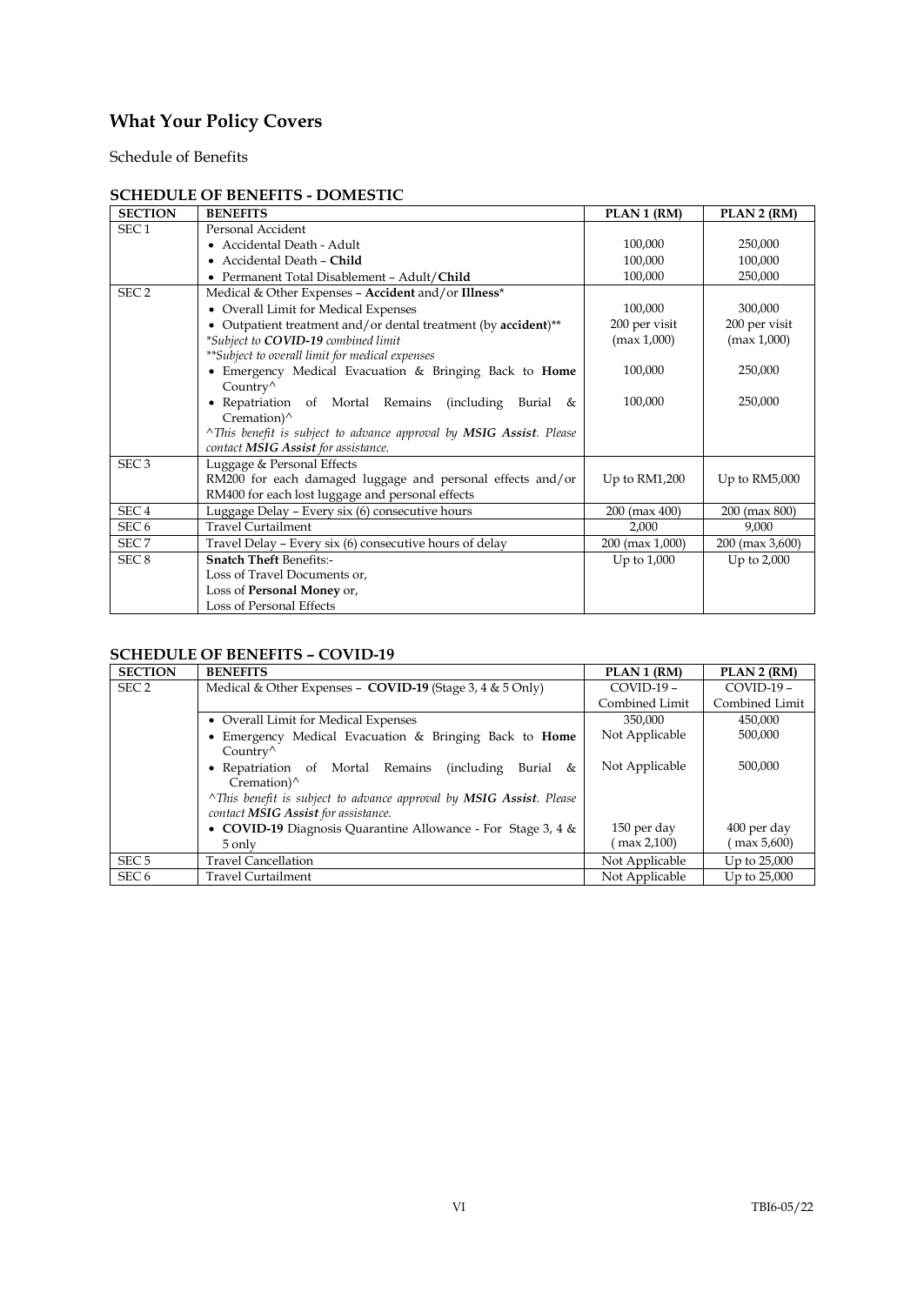# **What Your Policy Covers**

Schedule of Benefits

# **SCHEDULE OF BENEFITS - DOMESTIC**

| <b>SECTION</b>   | <b>BENEFITS</b>                                                             | PLAN 1 (RM)        | PLAN 2 (RM)     |
|------------------|-----------------------------------------------------------------------------|--------------------|-----------------|
| SEC <sub>1</sub> | Personal Accident                                                           |                    |                 |
|                  | • Accidental Death - Adult                                                  | 100,000            | 250,000         |
|                  | • Accidental Death - Child                                                  | 100,000            | 100,000         |
|                  | • Permanent Total Disablement - Adult/Child                                 | 100,000            | 250,000         |
| SEC <sub>2</sub> | Medical & Other Expenses - Accident and/or Illness*                         |                    |                 |
|                  | • Overall Limit for Medical Expenses                                        | 100,000            | 300,000         |
|                  | • Outpatient treatment and/or dental treatment (by accident)**              | 200 per visit      | 200 per visit   |
|                  | *Subject to COVID-19 combined limit                                         | (max 1,000)        | (max 1,000)     |
|                  | **Subject to overall limit for medical expenses                             |                    |                 |
|                  | • Emergency Medical Evacuation & Bringing Back to Home                      | 100,000            | 250,000         |
|                  | Country $\wedge$                                                            |                    |                 |
|                  | • Repatriation of Mortal Remains<br>(including Burial $\&$                  | 100,000            | 250,000         |
|                  | Cremation $)^{\wedge}$                                                      |                    |                 |
|                  | "This benefit is subject to advance approval by <b>MSIG Assist</b> . Please |                    |                 |
|                  | contact MSIG Assist for assistance.                                         |                    |                 |
| SEC <sub>3</sub> | Luggage & Personal Effects                                                  |                    |                 |
|                  | RM200 for each damaged luggage and personal effects and/or                  | Up to $RM1,200$    | Up to $RM5,000$ |
|                  | RM400 for each lost luggage and personal effects                            |                    |                 |
| SEC <sub>4</sub> | Luggage Delay - Every six (6) consecutive hours                             | $200$ (max $400$ ) | 200 (max 800)   |
| SEC <sub>6</sub> | <b>Travel Curtailment</b>                                                   | 2.000              | 9,000           |
| SEC <sub>7</sub> | Travel Delay - Every six (6) consecutive hours of delay                     | 200 (max 1,000)    | 200 (max 3,600) |
| SEC <sub>8</sub> | <b>Snatch Theft Benefits:-</b>                                              | Up to $1,000$      | Up to $2,000$   |
|                  | Loss of Travel Documents or,                                                |                    |                 |
|                  | Loss of Personal Money or,                                                  |                    |                 |
|                  | Loss of Personal Effects                                                    |                    |                 |

# **SCHEDULE OF BENEFITS – COVID-19**

| <b>SECTION</b>   | <b>BENEFITS</b>                                                                         | PLAN 1 (RM)    | PLAN 2 (RM)    |
|------------------|-----------------------------------------------------------------------------------------|----------------|----------------|
| SEC <sub>2</sub> | Medical & Other Expenses - $COVID-19$ (Stage 3, 4 & 5 Only)                             | $COVID-19-$    | $COVID-19-$    |
|                  |                                                                                         | Combined Limit | Combined Limit |
|                  | • Overall Limit for Medical Expenses                                                    | 350,000        | 450,000        |
|                  | • Emergency Medical Evacuation & Bringing Back to Home                                  | Not Applicable | 500,000        |
|                  | Country $\wedge$                                                                        |                |                |
|                  | • Repatriation of Mortal Remains<br><i>(including)</i><br>Burial &                      | Not Applicable | 500,000        |
|                  | Cremation $)^{\wedge}$                                                                  |                |                |
|                  | <sup>^</sup> This benefit is subject to advance approval by <b>MSIG Assist</b> . Please |                |                |
|                  | contact MSIG Assist for assistance.                                                     |                |                |
|                  | • COVID-19 Diagnosis Quarantine Allowance - For Stage 3, 4 &                            | 150 per day    | 400 per day    |
|                  | 5 only                                                                                  | max 2,100      | max 5,600      |
| SEC <sub>5</sub> | <b>Travel Cancellation</b>                                                              | Not Applicable | Up to 25,000   |
| SEC <sub>6</sub> | <b>Travel Curtailment</b>                                                               | Not Applicable | Up to 25,000   |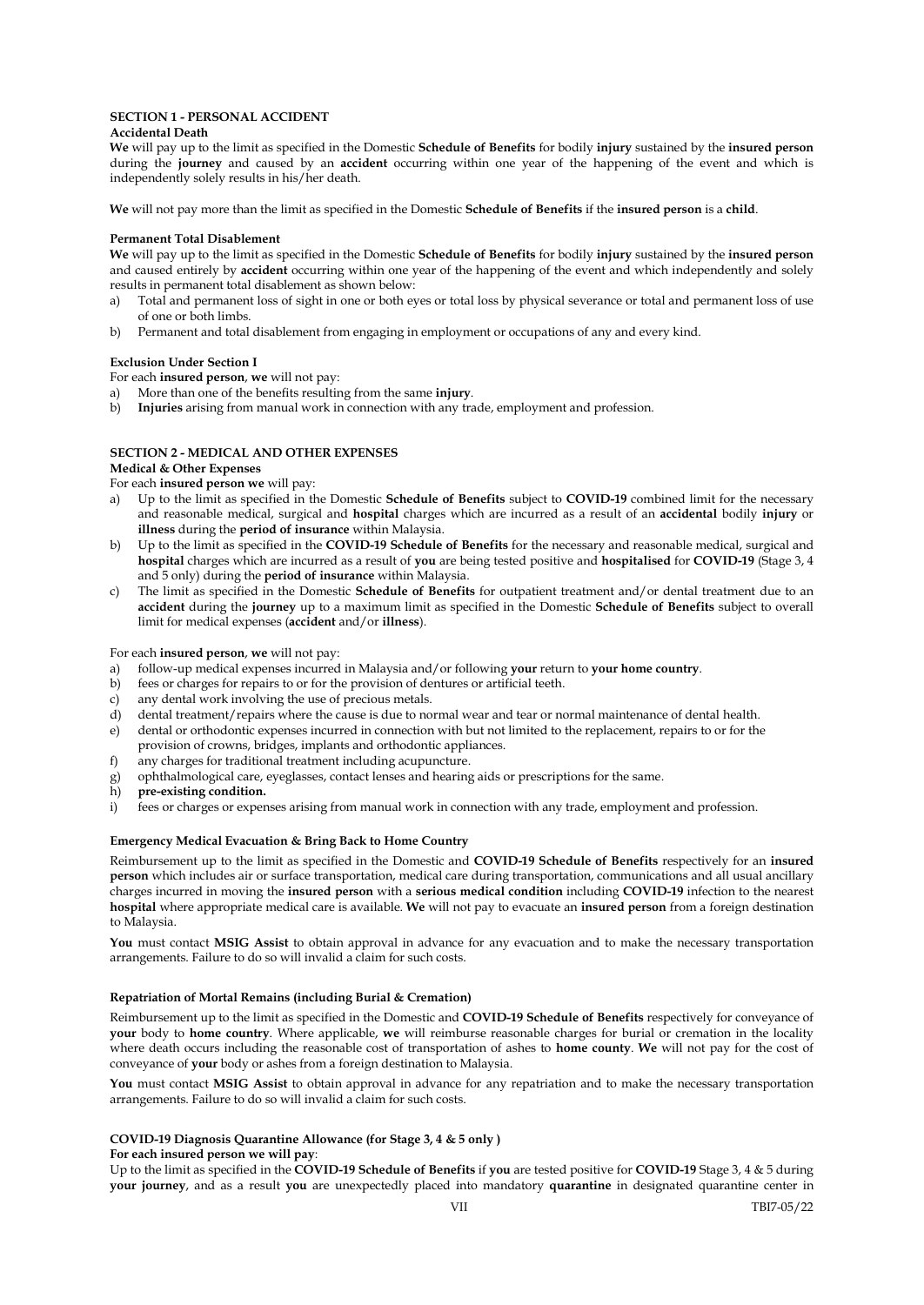# **SECTION 1 - PERSONAL ACCIDENT**

# **Accidental Death**

**We** will pay up to the limit as specified in the Domestic **Schedule of Benefits** for bodily **injury** sustained by the **insured person** during the **journey** and caused by an **accident** occurring within one year of the happening of the event and which is independently solely results in his/her death.

**We** will not pay more than the limit as specified in the Domestic **Schedule of Benefits** if the **insured person** is a **child**.

## **Permanent Total Disablement**

**We** will pay up to the limit as specified in the Domestic **Schedule of Benefits** for bodily **injury** sustained by the **insured person** and caused entirely by **accident** occurring within one year of the happening of the event and which independently and solely results in permanent total disablement as shown below:

- a) Total and permanent loss of sight in one or both eyes or total loss by physical severance or total and permanent loss of use of one or both limbs.
- b) Permanent and total disablement from engaging in employment or occupations of any and every kind.

# **Exclusion Under Section I**

For each **insured person**, **we** will not pay:

- a) More than one of the benefits resulting from the same **injury**.
- b) **Injuries** arising from manual work in connection with any trade, employment and profession.

# **SECTION 2 - MEDICAL AND OTHER EXPENSES**

# **Medical & Other Expenses**

For each **insured person we** will pay:

- a) Up to the limit as specified in the Domestic **Schedule of Benefits** subject to **COVID-19** combined limit for the necessary and reasonable medical, surgical and **hospital** charges which are incurred as a result of an **accidental** bodily **injury** or **illness** during the **period of insurance** within Malaysia.
- b) Up to the limit as specified in the **COVID-19 Schedule of Benefits** for the necessary and reasonable medical, surgical and **hospital** charges which are incurred as a result of **you** are being tested positive and **hospitalised** for **COVID-19** (Stage 3, 4 and 5 only) during the **period of insurance** within Malaysia.
- c) The limit as specified in the Domestic **Schedule of Benefits** for outpatient treatment and/or dental treatment due to an **accident** during the **journey** up to a maximum limit as specified in the Domestic **Schedule of Benefits** subject to overall limit for medical expenses (**accident** and/or **illness**).

# For each **insured person**, **we** will not pay:

- a) follow-up medical expenses incurred in Malaysia and/or following **your** return to **your home country**.
- b) fees or charges for repairs to or for the provision of dentures or artificial teeth.
- c) any dental work involving the use of precious metals.
- d) dental treatment/repairs where the cause is due to normal wear and tear or normal maintenance of dental health.
- e) dental or orthodontic expenses incurred in connection with but not limited to the replacement, repairs to or for the provision of crowns, bridges, implants and orthodontic appliances.
- f) any charges for traditional treatment including acupuncture.
- g) ophthalmological care, eyeglasses, contact lenses and hearing aids or prescriptions for the same.
- h) **pre-existing condition.**
- i) fees or charges or expenses arising from manual work in connection with any trade, employment and profession.

## **Emergency Medical Evacuation & Bring Back to Home Country**

Reimbursement up to the limit as specified in the Domestic and **COVID-19 Schedule of Benefits** respectively for an **insured person** which includes air or surface transportation, medical care during transportation, communications and all usual ancillary charges incurred in moving the **insured person** with a **serious medical condition** including **COVID-19** infection to the nearest **hospital** where appropriate medical care is available. **We** will not pay to evacuate an **insured person** from a foreign destination to Malaysia.

**You** must contact **MSIG Assist** to obtain approval in advance for any evacuation and to make the necessary transportation arrangements. Failure to do so will invalid a claim for such costs.

## **Repatriation of Mortal Remains (including Burial & Cremation)**

Reimbursement up to the limit as specified in the Domestic and **COVID-19 Schedule of Benefits** respectively for conveyance of **your** body to **home country**. Where applicable, **we** will reimburse reasonable charges for burial or cremation in the locality where death occurs including the reasonable cost of transportation of ashes to **home county**. **We** will not pay for the cost of conveyance of **your** body or ashes from a foreign destination to Malaysia.

**You** must contact **MSIG Assist** to obtain approval in advance for any repatriation and to make the necessary transportation arrangements. Failure to do so will invalid a claim for such costs.

# **COVID-19 Diagnosis Quarantine Allowance (for Stage 3, 4 & 5 only )**

# **For each insured person we will pay**:

Up to the limit as specified in the **COVID-19 Schedule of Benefits** if **you** are tested positive for **COVID-19** Stage 3, 4 & 5 during **your journey**, and as a result **you** are unexpectedly placed into mandatory **quarantine** in designated quarantine center in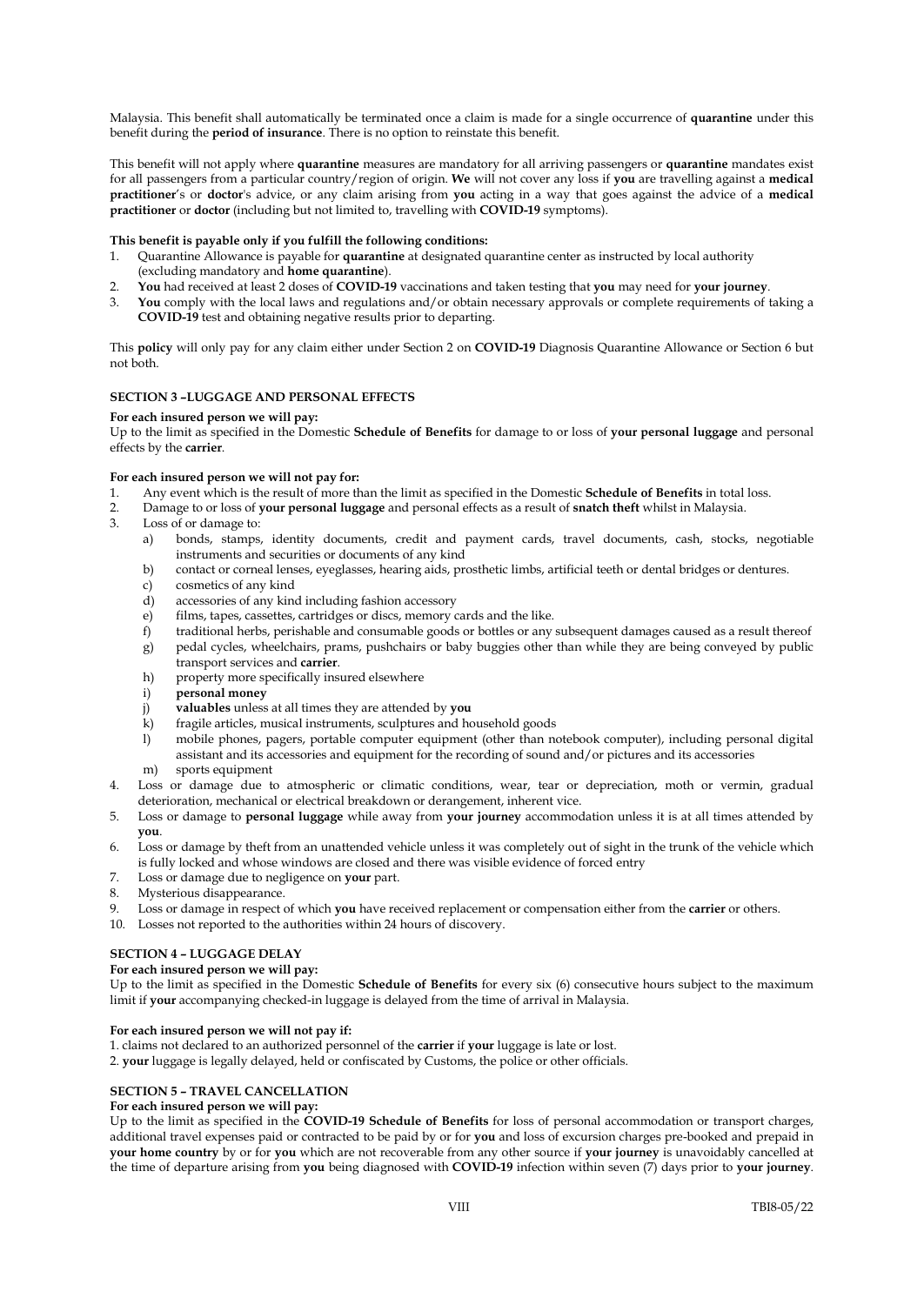Malaysia. This benefit shall automatically be terminated once a claim is made for a single occurrence of **quarantine** under this benefit during the **period of insurance**. There is no option to reinstate this benefit.

This benefit will not apply where **quarantine** measures are mandatory for all arriving passengers or **quarantine** mandates exist for all passengers from a particular country/region of origin. **We** will not cover any loss if **you** are travelling against a **medical practitioner**'s or **doctor**'s advice, or any claim arising from **you** acting in a way that goes against the advice of a **medical practitioner** or **doctor** (including but not limited to, travelling with **COVID-19** symptoms).

# **This benefit is payable only if you fulfill the following conditions:**

- 1. Quarantine Allowance is payable for **quarantine** at designated quarantine center as instructed by local authority (excluding mandatory and **home quarantine**).
- 2. **You** had received at least 2 doses of **COVID-19** vaccinations and taken testing that **you** may need for **your journey**.
- You comply with the local laws and regulations and/or obtain necessary approvals or complete requirements of taking a **COVID-19** test and obtaining negative results prior to departing.

This **policy** will only pay for any claim either under Section 2 on **COVID-19** Diagnosis Quarantine Allowance or Section 6 but not both.

# **SECTION 3 –LUGGAGE AND PERSONAL EFFECTS**

## **For each insured person we will pay:**

Up to the limit as specified in the Domestic **Schedule of Benefits** for damage to or loss of **your personal luggage** and personal effects by the **carrier**.

# **For each insured person we will not pay for:**

- 1. Any event which is the result of more than the limit as specified in the Domestic **Schedule of Benefits** in total loss.
- 2. Damage to or loss of **your personal luggage** and personal effects as a result of **snatch theft** whilst in Malaysia.
- Loss of or damage to:
	- a) bonds, stamps, identity documents, credit and payment cards, travel documents, cash, stocks, negotiable instruments and securities or documents of any kind
	- b) contact or corneal lenses, eyeglasses, hearing aids, prosthetic limbs, artificial teeth or dental bridges or dentures.
	- c) cosmetics of any kind<br>d) accessories of any kine
	- accessories of any kind including fashion accessory
	- e) films, tapes, cassettes, cartridges or discs, memory cards and the like.
	- f) traditional herbs, perishable and consumable goods or bottles or any subsequent damages caused as a result thereof
	- g) pedal cycles, wheelchairs, prams, pushchairs or baby buggies other than while they are being conveyed by public transport services and **carrier**.
	- h) property more specifically insured elsewhere
	- i) **personal money**
	- j) **valuables** unless at all times they are attended by **you**
	- $k$ ) fragile articles, musical instruments, sculptures and household goods
	- l) mobile phones, pagers, portable computer equipment (other than notebook computer), including personal digital assistant and its accessories and equipment for the recording of sound and/or pictures and its accessories
	- m) sports equipment
- 4. Loss or damage due to atmospheric or climatic conditions, wear, tear or depreciation, moth or vermin, gradual deterioration, mechanical or electrical breakdown or derangement, inherent vice.
- 5. Loss or damage to **personal luggage** while away from **your journey** accommodation unless it is at all times attended by **you**.
- 6. Loss or damage by theft from an unattended vehicle unless it was completely out of sight in the trunk of the vehicle which is fully locked and whose windows are closed and there was visible evidence of forced entry
- 7. Loss or damage due to negligence on **your** part.
- 8. Mysterious disappearance.
- 9. Loss or damage in respect of which **you** have received replacement or compensation either from the **carrier** or others.
- 10. Losses not reported to the authorities within 24 hours of discovery.

# **SECTION 4 – LUGGAGE DELAY**

# **For each insured person we will pay:**

Up to the limit as specified in the Domestic **Schedule of Benefits** for every six (6) consecutive hours subject to the maximum limit if **your** accompanying checked-in luggage is delayed from the time of arrival in Malaysia.

# **For each insured person we will not pay if:**

1. claims not declared to an authorized personnel of the **carrier** if **your** luggage is late or lost.

2. **your** luggage is legally delayed, held or confiscated by Customs, the police or other officials.

# **SECTION 5 – TRAVEL CANCELLATION**

# **For each insured person we will pay:**

Up to the limit as specified in the **COVID-19 Schedule of Benefits** for loss of personal accommodation or transport charges, additional travel expenses paid or contracted to be paid by or for **you** and loss of excursion charges pre-booked and prepaid in **your home country** by or for **you** which are not recoverable from any other source if **your journey** is unavoidably cancelled at the time of departure arising from **you** being diagnosed with **COVID-19** infection within seven (7) days prior to **your journey**.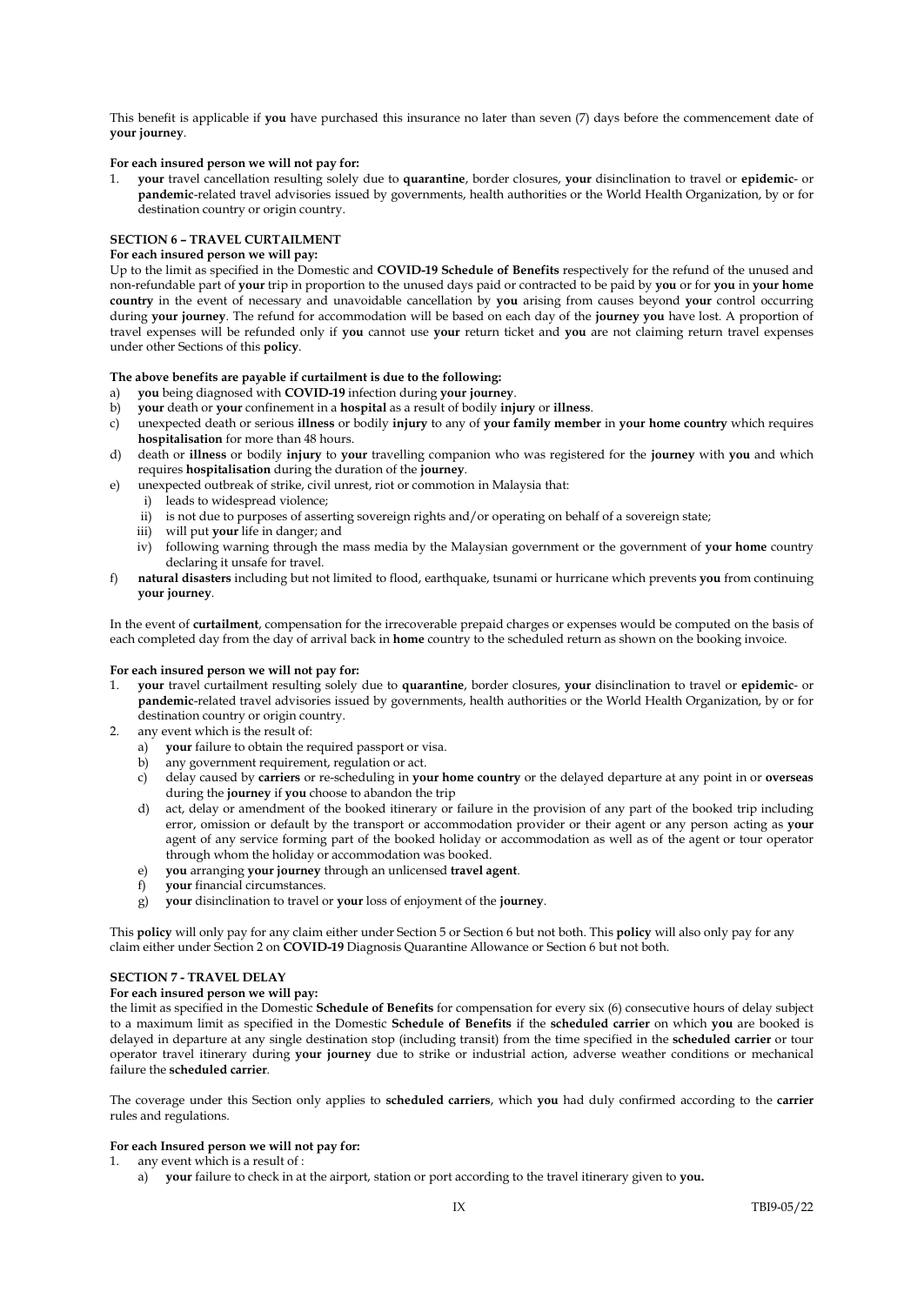This benefit is applicable if **you** have purchased this insurance no later than seven (7) days before the commencement date of **your journey**.

## **For each insured person we will not pay for:**

1. **your** travel cancellation resulting solely due to **quarantine**, border closures, **your** disinclination to travel or **epidemic**- or **pandemic**-related travel advisories issued by governments, health authorities or the World Health Organization, by or for destination country or origin country.

# **SECTION 6 – TRAVEL CURTAILMENT**

# **For each insured person we will pay:**

Up to the limit as specified in the Domestic and **COVID-19 Schedule of Benefits** respectively for the refund of the unused and non-refundable part of **your** trip in proportion to the unused days paid or contracted to be paid by **you** or for **you** in **your home country** in the event of necessary and unavoidable cancellation by **you** arising from causes beyond **your** control occurring during **your journey**. The refund for accommodation will be based on each day of the **journey you** have lost. A proportion of travel expenses will be refunded only if **you** cannot use **your** return ticket and **you** are not claiming return travel expenses under other Sections of this **policy**.

#### **The above benefits are payable if curtailment is due to the following:**

- a) **you** being diagnosed with **COVID-19** infection during **your journey**.
- b) **your** death or **your** confinement in a **hospital** as a result of bodily **injury** or **illness**.
- c) unexpected death or serious **illness** or bodily **injury** to any of **your family member** in **your home country** which requires **hospitalisation** for more than 48 hours.
- d) death or **illness** or bodily **injury** to **your** travelling companion who was registered for the **journey** with **you** and which requires **hospitalisation** during the duration of the **journey**.
- e) unexpected outbreak of strike, civil unrest, riot or commotion in Malaysia that:
	- i) leads to widespread violence;
	- ii) is not due to purposes of asserting sovereign rights and/or operating on behalf of a sovereign state;
	- iii) will put **your** life in danger; and
	- iv) following warning through the mass media by the Malaysian government or the government of **your home** country declaring it unsafe for travel.
- f) **natural disasters** including but not limited to flood, earthquake, tsunami or hurricane which prevents **you** from continuing **your journey**.

In the event of **curtailment**, compensation for the irrecoverable prepaid charges or expenses would be computed on the basis of each completed day from the day of arrival back in **home** country to the scheduled return as shown on the booking invoice.

## **For each insured person we will not pay for:**

- 1. **your** travel curtailment resulting solely due to **quarantine**, border closures, **your** disinclination to travel or **epidemic** or **pandemic**-related travel advisories issued by governments, health authorities or the World Health Organization, by or for destination country or origin country.
- 2. any event which is the result of:
	- a) **your** failure to obtain the required passport or visa.
	- b) any government requirement, regulation or act.
	- c) delay caused by **carriers** or re-scheduling in **your home country** or the delayed departure at any point in or **overseas** during the **journey** if **you** choose to abandon the trip
	- d) act, delay or amendment of the booked itinerary or failure in the provision of any part of the booked trip including error, omission or default by the transport or accommodation provider or their agent or any person acting as **your** agent of any service forming part of the booked holiday or accommodation as well as of the agent or tour operator through whom the holiday or accommodation was booked.
	- e) **you** arranging **your journey** through an unlicensed **travel agent**.
	- f) **your** financial circumstances.
	- g) **your** disinclination to travel or **your** loss of enjoyment of the **journey**.

This **policy** will only pay for any claim either under Section 5 or Section 6 but not both. This **policy** will also only pay for any claim either under Section 2 on **COVID-19** Diagnosis Quarantine Allowance or Section 6 but not both.

## **SECTION 7 - TRAVEL DELAY**

# **For each insured person we will pay:**

the limit as specified in the Domestic **Schedule of Benefits** for compensation for every six (6) consecutive hours of delay subject to a maximum limit as specified in the Domestic **Schedule of Benefits** if the **scheduled carrier** on which **you** are booked is delayed in departure at any single destination stop (including transit) from the time specified in the **scheduled carrier** or tour operator travel itinerary during **your journey** due to strike or industrial action, adverse weather conditions or mechanical failure the **scheduled carrier**.

The coverage under this Section only applies to **scheduled carriers**, which **you** had duly confirmed according to the **carrier** rules and regulations.

## **For each Insured person we will not pay for:**

- any event which is a result of :
	- a) **your** failure to check in at the airport, station or port according to the travel itinerary given to **you.**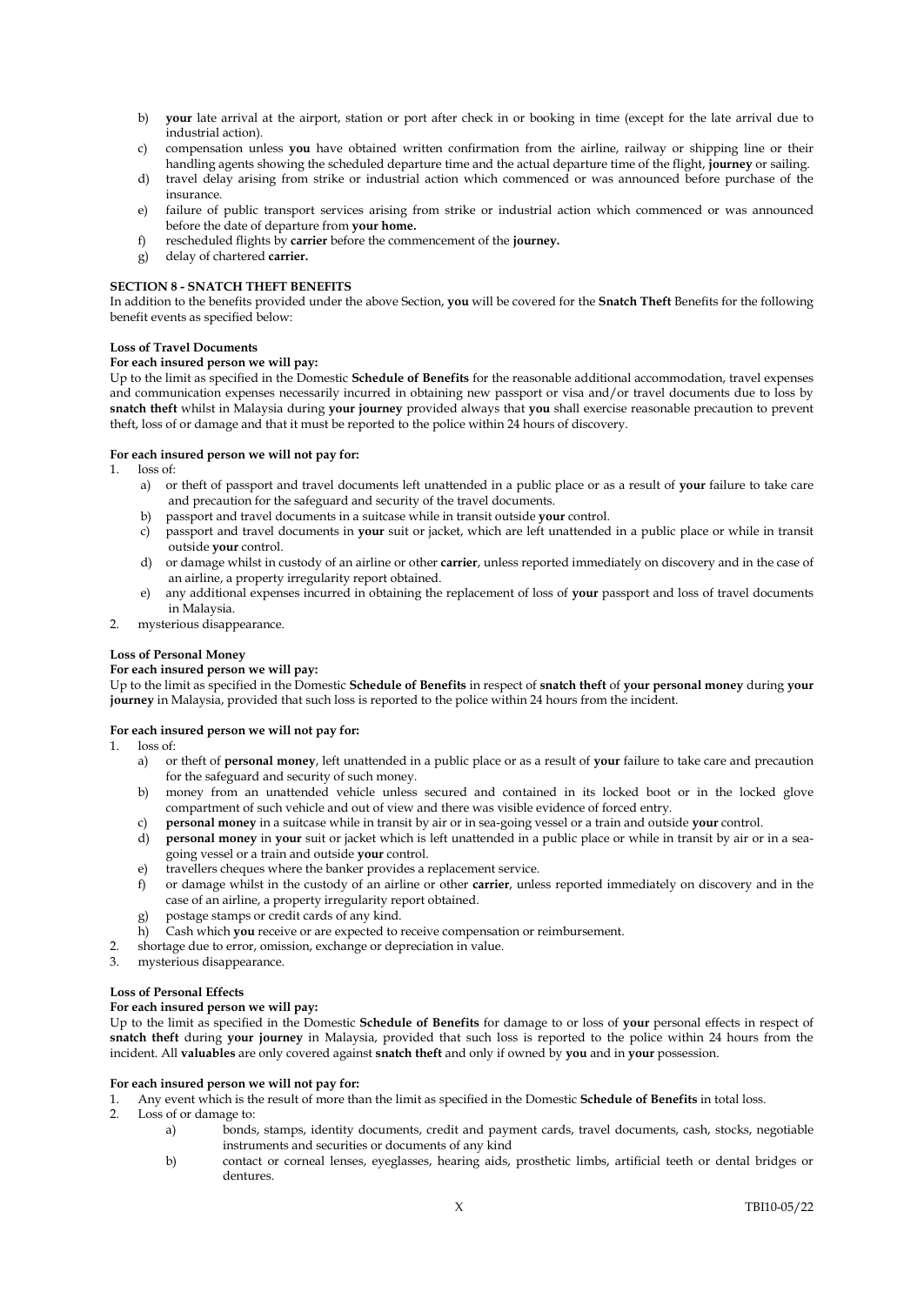- b) **your** late arrival at the airport, station or port after check in or booking in time (except for the late arrival due to industrial action).
- c) compensation unless **you** have obtained written confirmation from the airline, railway or shipping line or their handling agents showing the scheduled departure time and the actual departure time of the flight, **journey** or sailing.
- d) travel delay arising from strike or industrial action which commenced or was announced before purchase of the insurance.
- e) failure of public transport services arising from strike or industrial action which commenced or was announced before the date of departure from **your home.**
- f) rescheduled flights by **carrier** before the commencement of the **journey.**
- g) delay of chartered **carrier.**

# **SECTION 8 - SNATCH THEFT BENEFITS**

In addition to the benefits provided under the above Section, **you** will be covered for the **Snatch Theft** Benefits for the following benefit events as specified below:

# **Loss of Travel Documents**

# **For each insured person we will pay:**

Up to the limit as specified in the Domestic **Schedule of Benefits** for the reasonable additional accommodation, travel expenses and communication expenses necessarily incurred in obtaining new passport or visa and/or travel documents due to loss by **snatch theft** whilst in Malaysia during **your journey** provided always that **you** shall exercise reasonable precaution to prevent theft, loss of or damage and that it must be reported to the police within 24 hours of discovery.

## **For each insured person we will not pay for:**

- 1. loss of:
	- a) or theft of passport and travel documents left unattended in a public place or as a result of **your** failure to take care and precaution for the safeguard and security of the travel documents.
	- b) passport and travel documents in a suitcase while in transit outside **your** control.
	- c) passport and travel documents in **your** suit or jacket, which are left unattended in a public place or while in transit outside **your** control.
	- d) or damage whilst in custody of an airline or other **carrier**, unless reported immediately on discovery and in the case of an airline, a property irregularity report obtained.
	- e) any additional expenses incurred in obtaining the replacement of loss of **your** passport and loss of travel documents in Malaysia.
- 2. mysterious disappearance.

# **Loss of Personal Money**

# **For each insured person we will pay:**

Up to the limit as specified in the Domestic **Schedule of Benefits** in respect of **snatch theft** of **your personal money** during **your journey** in Malaysia, provided that such loss is reported to the police within 24 hours from the incident.

# **For each insured person we will not pay for:**

1. loss of:

- a) or theft of **personal money**, left unattended in a public place or as a result of **your** failure to take care and precaution for the safeguard and security of such money.
- b) money from an unattended vehicle unless secured and contained in its locked boot or in the locked glove compartment of such vehicle and out of view and there was visible evidence of forced entry.
- c) **personal money** in a suitcase while in transit by air or in sea-going vessel or a train and outside **your** control.
- d) **personal money** in **your** suit or jacket which is left unattended in a public place or while in transit by air or in a seagoing vessel or a train and outside **your** control.
- e) travellers cheques where the banker provides a replacement service.
- f) or damage whilst in the custody of an airline or other **carrier**, unless reported immediately on discovery and in the case of an airline, a property irregularity report obtained.
- g) postage stamps or credit cards of any kind.
- h) Cash which **you** receive or are expected to receive compensation or reimbursement.
- shortage due to error, omission, exchange or depreciation in value.
- mysterious disappearance.

# **Loss of Personal Effects**

## **For each insured person we will pay:**

Up to the limit as specified in the Domestic **Schedule of Benefits** for damage to or loss of **your** personal effects in respect of **snatch theft** during **your journey** in Malaysia, provided that such loss is reported to the police within 24 hours from the incident. All **valuables** are only covered against **snatch theft** and only if owned by **you** and in **your** possession.

## **For each insured person we will not pay for:**

- 1. Any event which is the result of more than the limit as specified in the Domestic **Schedule of Benefits** in total loss.
- 2. Loss of or damage to:
	- a) bonds, stamps, identity documents, credit and payment cards, travel documents, cash, stocks, negotiable instruments and securities or documents of any kind
	- b) contact or corneal lenses, eyeglasses, hearing aids, prosthetic limbs, artificial teeth or dental bridges or dentures.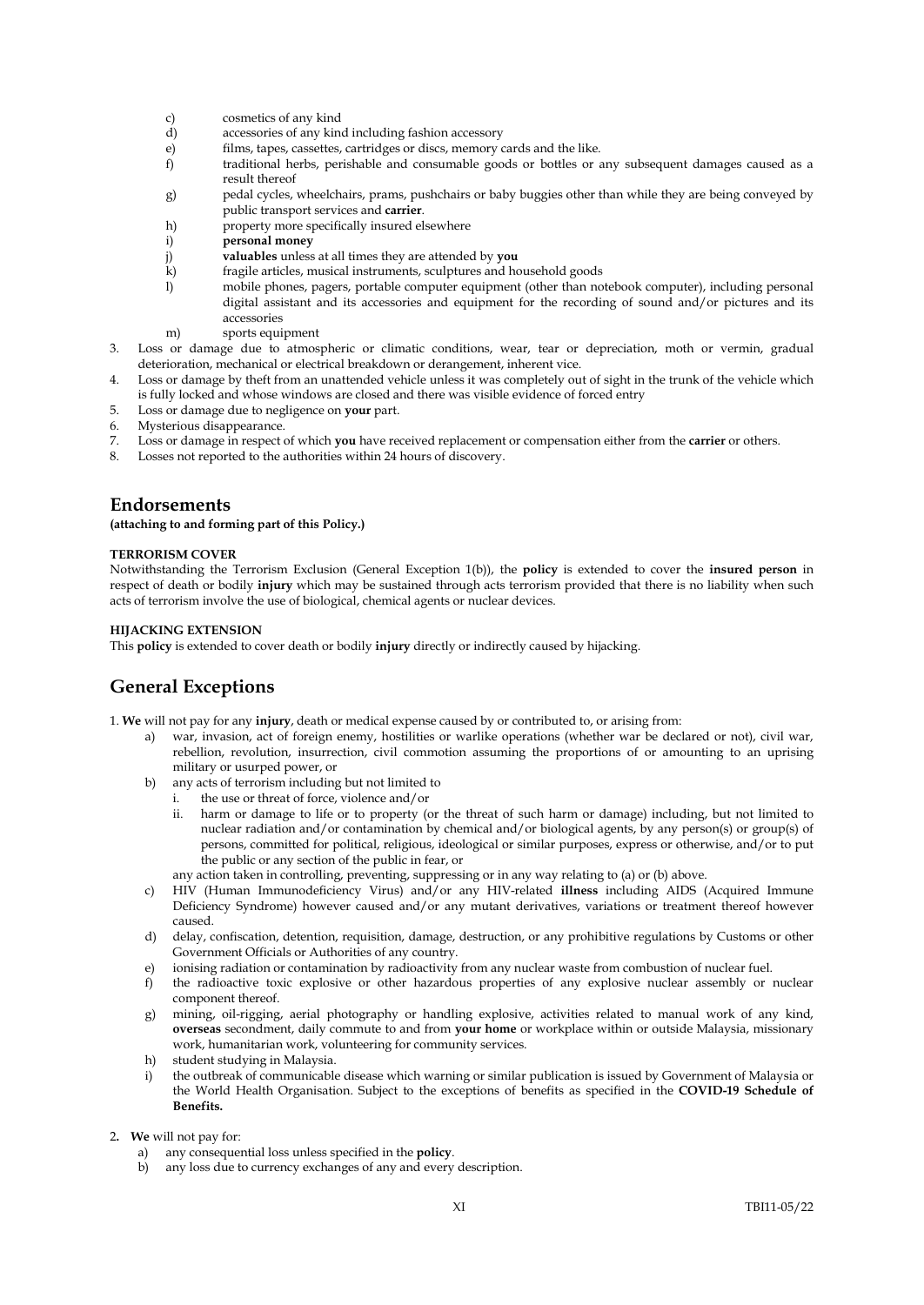- c) cosmetics of any kind
- d) accessories of any kind including fashion accessory<br>e) films, tapes, cassettes, cartridges or discs, memory of
- films, tapes, cassettes, cartridges or discs, memory cards and the like.
- f) traditional herbs, perishable and consumable goods or bottles or any subsequent damages caused as a result thereof
- g) pedal cycles, wheelchairs, prams, pushchairs or baby buggies other than while they are being conveyed by public transport services and **carrier**.
- h) property more specifically insured elsewhere
- i) **personal money**
- j) **valuables** unless at all times they are attended by **you**<br>k) fractile articles, musical instruments, sculptures and ho
- fragile articles, musical instruments, sculptures and household goods
- l) mobile phones, pagers, portable computer equipment (other than notebook computer), including personal digital assistant and its accessories and equipment for the recording of sound and/or pictures and its accessories
- m) sports equipment
- 3. Loss or damage due to atmospheric or climatic conditions, wear, tear or depreciation, moth or vermin, gradual deterioration, mechanical or electrical breakdown or derangement, inherent vice.
- 4. Loss or damage by theft from an unattended vehicle unless it was completely out of sight in the trunk of the vehicle which is fully locked and whose windows are closed and there was visible evidence of forced entry
- 5. Loss or damage due to negligence on **your** part.
- 6. Mysterious disappearance.<br>7 I oss or damage in respect of
- 7. Loss or damage in respect of which **you** have received replacement or compensation either from the **carrier** or others.
- 8. Losses not reported to the authorities within 24 hours of discovery.

# **Endorsements**

# **(attaching to and forming part of this Policy.)**

# **TERRORISM COVER**

Notwithstanding the Terrorism Exclusion (General Exception 1(b)), the **policy** is extended to cover the **insured person** in respect of death or bodily **injury** which may be sustained through acts terrorism provided that there is no liability when such acts of terrorism involve the use of biological, chemical agents or nuclear devices.

# **HIJACKING EXTENSION**

This **policy** is extended to cover death or bodily **injury** directly or indirectly caused by hijacking.

# **General Exceptions**

1. **We** will not pay for any **injury**, death or medical expense caused by or contributed to, or arising from:

- a) war, invasion, act of foreign enemy, hostilities or warlike operations (whether war be declared or not), civil war, rebellion, revolution, insurrection, civil commotion assuming the proportions of or amounting to an uprising military or usurped power, or
- b) any acts of terrorism including but not limited to
	- i. the use or threat of force, violence and/or
		- ii. harm or damage to life or to property (or the threat of such harm or damage) including, but not limited to nuclear radiation and/or contamination by chemical and/or biological agents, by any person(s) or group(s) of persons, committed for political, religious, ideological or similar purposes, express or otherwise, and/or to put the public or any section of the public in fear, or
	- any action taken in controlling, preventing, suppressing or in any way relating to (a) or (b) above.
- c) HIV (Human Immunodeficiency Virus) and/or any HIV-related **illness** including AIDS (Acquired Immune Deficiency Syndrome) however caused and/or any mutant derivatives, variations or treatment thereof however caused.
- d) delay, confiscation, detention, requisition, damage, destruction, or any prohibitive regulations by Customs or other Government Officials or Authorities of any country.
- e) ionising radiation or contamination by radioactivity from any nuclear waste from combustion of nuclear fuel.
- f) the radioactive toxic explosive or other hazardous properties of any explosive nuclear assembly or nuclear component thereof.
- g) mining, oil-rigging, aerial photography or handling explosive, activities related to manual work of any kind, **overseas** secondment, daily commute to and from **your home** or workplace within or outside Malaysia, missionary work, humanitarian work, volunteering for community services.
- h) student studying in Malaysia.
- i) the outbreak of communicable disease which warning or similar publication is issued by Government of Malaysia or the World Health Organisation. Subject to the exceptions of benefits as specified in the **COVID-19 Schedule of Benefits.**
- 2**. We** will not pay for:
	- a) any consequential loss unless specified in the **policy**.
	- b) any loss due to currency exchanges of any and every description.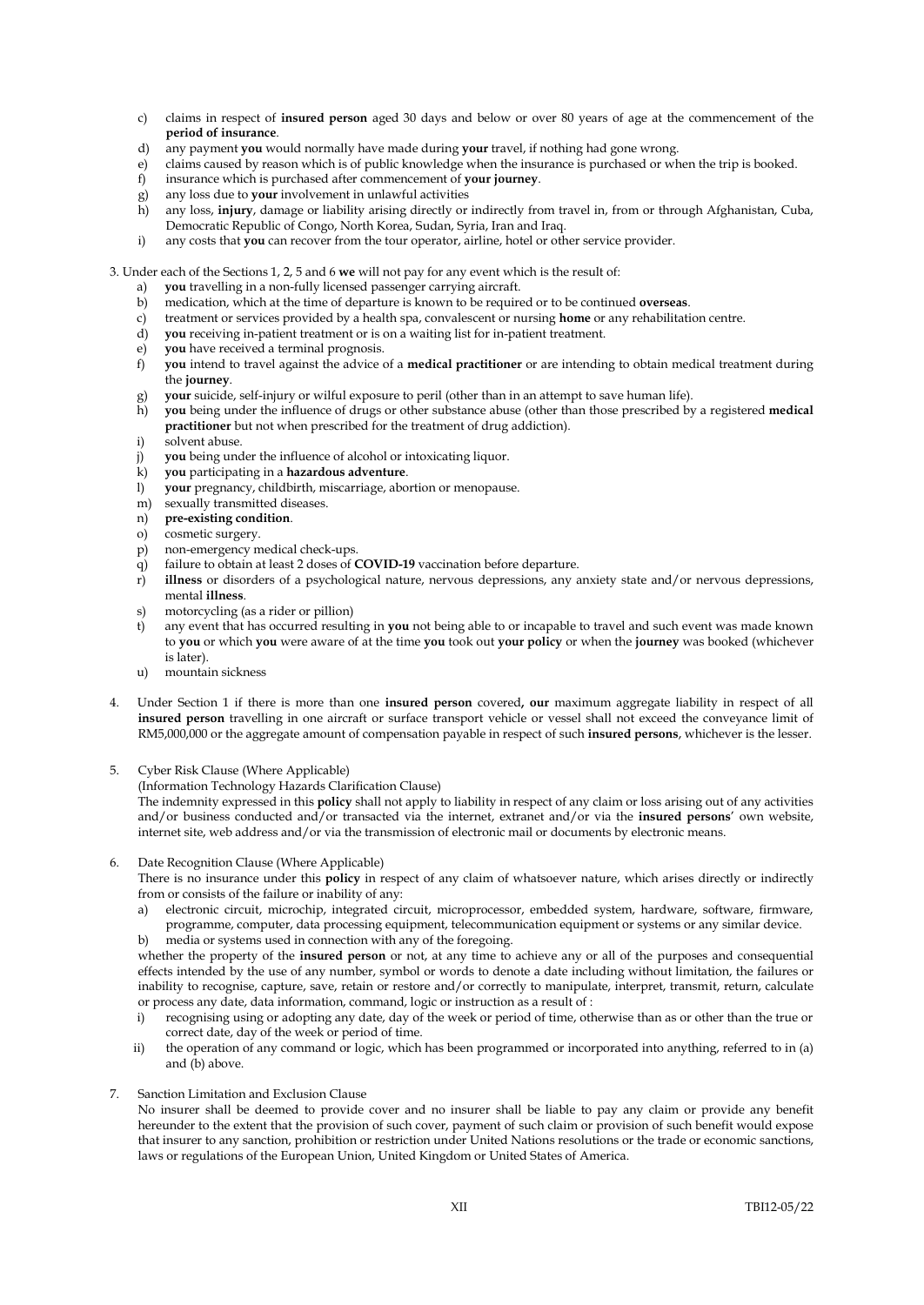- c) claims in respect of **insured person** aged 30 days and below or over 80 years of age at the commencement of the **period of insurance**.
- d) any payment **you** would normally have made during **your** travel, if nothing had gone wrong.
- e) claims caused by reason which is of public knowledge when the insurance is purchased or when the trip is booked.
- f) insurance which is purchased after commencement of **your journey**.
- g) any loss due to **your** involvement in unlawful activities<br>b) any loss, **injury**, damage or liability arising directly or
- any loss, *injury*, damage or liability arising directly or indirectly from travel in, from or through Afghanistan, Cuba, Democratic Republic of Congo, North Korea, Sudan, Syria, Iran and Iraq.
- i) any costs that **you** can recover from the tour operator, airline, hotel or other service provider.

3. Under each of the Sections 1, 2, 5 and 6 **we** will not pay for any event which is the result of:

- **you** travelling in a non-fully licensed passenger carrying aircraft.
- b) medication, which at the time of departure is known to be required or to be continued **overseas**.
- c) treatment or services provided by a health spa, convalescent or nursing **home** or any rehabilitation centre.
- d) **you** receiving in-patient treatment or is on a waiting list for in-patient treatment.
- e) **you** have received a terminal prognosis.
- f) **you** intend to travel against the advice of a **medical practitioner** or are intending to obtain medical treatment during the **journey**.
- g) **your** suicide, self-injury or wilful exposure to peril (other than in an attempt to save human life).
- h) **you** being under the influence of drugs or other substance abuse (other than those prescribed by a registered **medical practitioner** but not when prescribed for the treatment of drug addiction).
- i) solvent abuse.
- j) **you** being under the influence of alcohol or intoxicating liquor.
- k) **you** participating in a **hazardous adventure**.
- l) **your** pregnancy, childbirth, miscarriage, abortion or menopause.
- m) sexually transmitted diseases.
- n) **pre-existing condition**.
- o) cosmetic surgery.
- p) non-emergency medical check-ups.
- q) failure to obtain at least 2 doses of **COVID-19** vaccination before departure.
- r) **illness** or disorders of a psychological nature, nervous depressions, any anxiety state and/or nervous depressions, mental **illness**.
- s) motorcycling (as a rider or pillion)
- t) any event that has occurred resulting in **you** not being able to or incapable to travel and such event was made known to **you** or which **you** were aware of at the time **you** took out **your policy** or when the **journey** was booked (whichever is later).
- u) mountain sickness
- 4. Under Section 1 if there is more than one **insured person** covered**, our** maximum aggregate liability in respect of all **insured person** travelling in one aircraft or surface transport vehicle or vessel shall not exceed the conveyance limit of RM5,000,000 or the aggregate amount of compensation payable in respect of such **insured persons**, whichever is the lesser.
- 5. Cyber Risk Clause (Where Applicable)

(Information Technology Hazards Clarification Clause)

The indemnity expressed in this **policy** shall not apply to liability in respect of any claim or loss arising out of any activities and/or business conducted and/or transacted via the internet, extranet and/or via the **insured persons**' own website, internet site, web address and/or via the transmission of electronic mail or documents by electronic means.

6. Date Recognition Clause (Where Applicable)

There is no insurance under this **policy** in respect of any claim of whatsoever nature, which arises directly or indirectly from or consists of the failure or inability of any:

- a) electronic circuit, microchip, integrated circuit, microprocessor, embedded system, hardware, software, firmware, programme, computer, data processing equipment, telecommunication equipment or systems or any similar device.
- b) media or systems used in connection with any of the foregoing.

whether the property of the **insured person** or not, at any time to achieve any or all of the purposes and consequential effects intended by the use of any number, symbol or words to denote a date including without limitation, the failures or inability to recognise, capture, save, retain or restore and/or correctly to manipulate, interpret, transmit, return, calculate or process any date, data information, command, logic or instruction as a result of :

- i) recognising using or adopting any date, day of the week or period of time, otherwise than as or other than the true or correct date, day of the week or period of time.
- ii) the operation of any command or logic, which has been programmed or incorporated into anything, referred to in (a) and (b) above.
- 7. Sanction Limitation and Exclusion Clause

No insurer shall be deemed to provide cover and no insurer shall be liable to pay any claim or provide any benefit hereunder to the extent that the provision of such cover, payment of such claim or provision of such benefit would expose that insurer to any sanction, prohibition or restriction under United Nations resolutions or the trade or economic sanctions, laws or regulations of the European Union, United Kingdom or United States of America.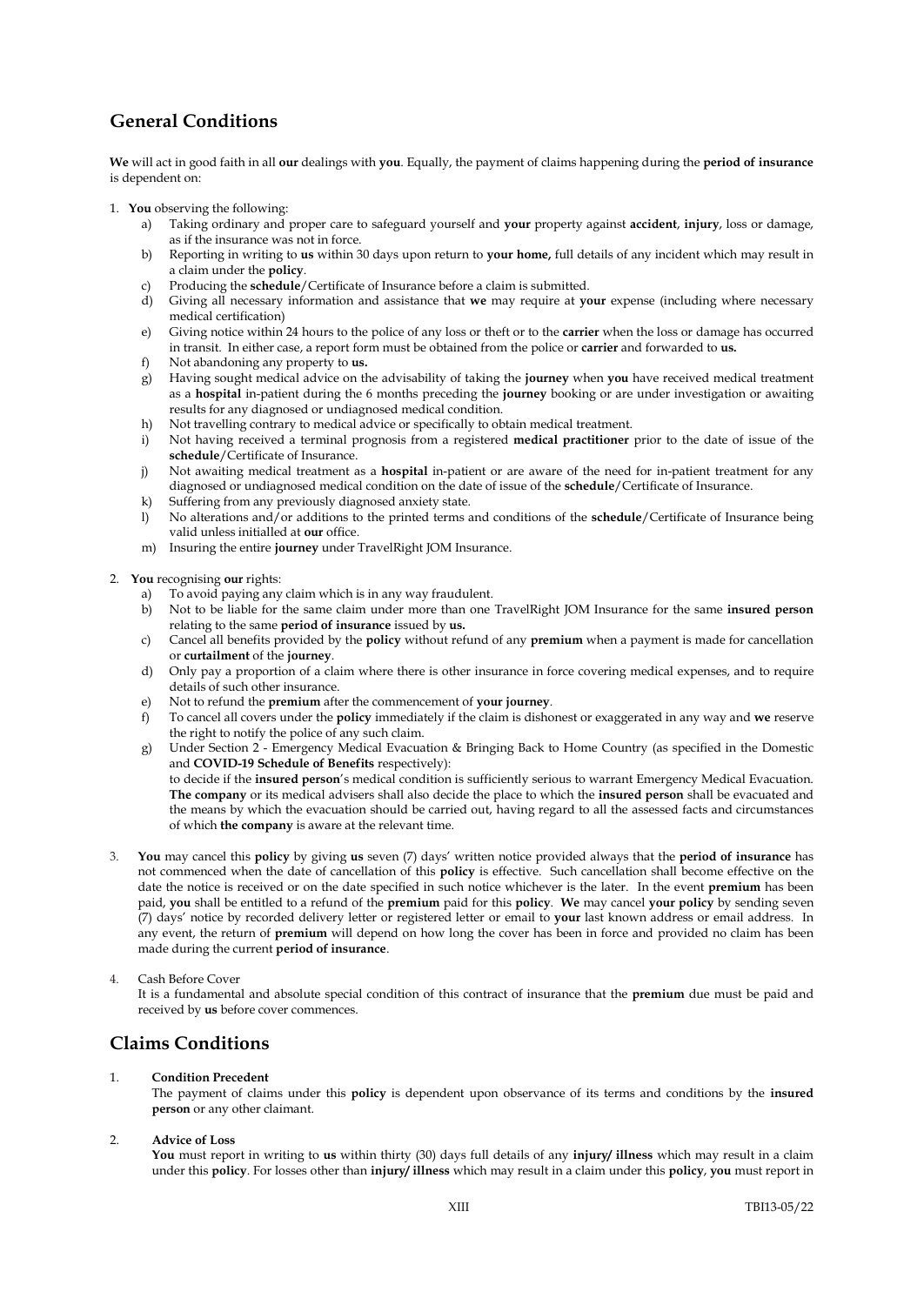# **General Conditions**

**We** will act in good faith in all **our** dealings with **you**. Equally, the payment of claims happening during the **period of insurance** is dependent on:

- 1. **You** observing the following:
	- a) Taking ordinary and proper care to safeguard yourself and **your** property against **accident**, **injury**, loss or damage, as if the insurance was not in force.
	- b) Reporting in writing to **us** within 30 days upon return to **your home,** full details of any incident which may result in a claim under the **policy**.
	- c) Producing the **schedule**/Certificate of Insurance before a claim is submitted.<br>d) Giving all necessary information and assistance that **we** may require at **ve**
	- d) Giving all necessary information and assistance that **we** may require at **your** expense (including where necessary medical certification)
	- e) Giving notice within 24 hours to the police of any loss or theft or to the **carrier** when the loss or damage has occurred in transit. In either case, a report form must be obtained from the police or **carrier** and forwarded to **us.**
	- f) Not abandoning any property to **us.**
	- g) Having sought medical advice on the advisability of taking the **journey** when **you** have received medical treatment as a **hospital** in-patient during the 6 months preceding the **journey** booking or are under investigation or awaiting results for any diagnosed or undiagnosed medical condition.
	- h) Not travelling contrary to medical advice or specifically to obtain medical treatment.
	- i) Not having received a terminal prognosis from a registered **medical practitioner** prior to the date of issue of the **schedule**/Certificate of Insurance.
	- j) Not awaiting medical treatment as a **hospital** in-patient or are aware of the need for in-patient treatment for any diagnosed or undiagnosed medical condition on the date of issue of the **schedule**/Certificate of Insurance.
	- k) Suffering from any previously diagnosed anxiety state.
	- l) No alterations and/or additions to the printed terms and conditions of the **schedule**/Certificate of Insurance being valid unless initialled at **our** office.
	- m) Insuring the entire **journey** under TravelRight JOM Insurance.
- 2. **You** recognising **our** rights:
	- a) To avoid paying any claim which is in any way fraudulent.
	- b) Not to be liable for the same claim under more than one TravelRight JOM Insurance for the same **insured person** relating to the same **period of insurance** issued by **us.**
	- c) Cancel all benefits provided by the **policy** without refund of any **premium** when a payment is made for cancellation or **curtailment** of the **journey**.
	- d) Only pay a proportion of a claim where there is other insurance in force covering medical expenses, and to require details of such other insurance.
	- e) Not to refund the **premium** after the commencement of **your journey**.
	- f) To cancel all covers under the **policy** immediately if the claim is dishonest or exaggerated in any way and **we** reserve the right to notify the police of any such claim.
	- g) Under Section 2 Emergency Medical Evacuation & Bringing Back to Home Country (as specified in the Domestic and **COVID-19 Schedule of Benefits** respectively): to decide if the **insured person**'s medical condition is sufficiently serious to warrant Emergency Medical Evacuation.
		- **The company** or its medical advisers shall also decide the place to which the **insured person** shall be evacuated and the means by which the evacuation should be carried out, having regard to all the assessed facts and circumstances of which **the company** is aware at the relevant time.
- 3. **You** may cancel this **policy** by giving **us** seven (7) days' written notice provided always that the **period of insurance** has not commenced when the date of cancellation of this **policy** is effective. Such cancellation shall become effective on the date the notice is received or on the date specified in such notice whichever is the later. In the event **premium** has been paid, **you** shall be entitled to a refund of the **premium** paid for this **policy**. **We** may cancel **your policy** by sending seven (7) days' notice by recorded delivery letter or registered letter or email to **your** last known address or email address. In any event, the return of **premium** will depend on how long the cover has been in force and provided no claim has been made during the current **period of insurance**.
- Cash Before Cover
	- It is a fundamental and absolute special condition of this contract of insurance that the **premium** due must be paid and received by **us** before cover commences.

# **Claims Conditions**

# 1. **Condition Precedent**

The payment of claims under this **policy** is dependent upon observance of its terms and conditions by the **insured person** or any other claimant.

# 2. **Advice of Loss**

**You** must report in writing to **us** within thirty (30) days full details of any **injury/ illness** which may result in a claim under this **policy**. For losses other than **injury/ illness** which may result in a claim under this **policy**, **you** must report in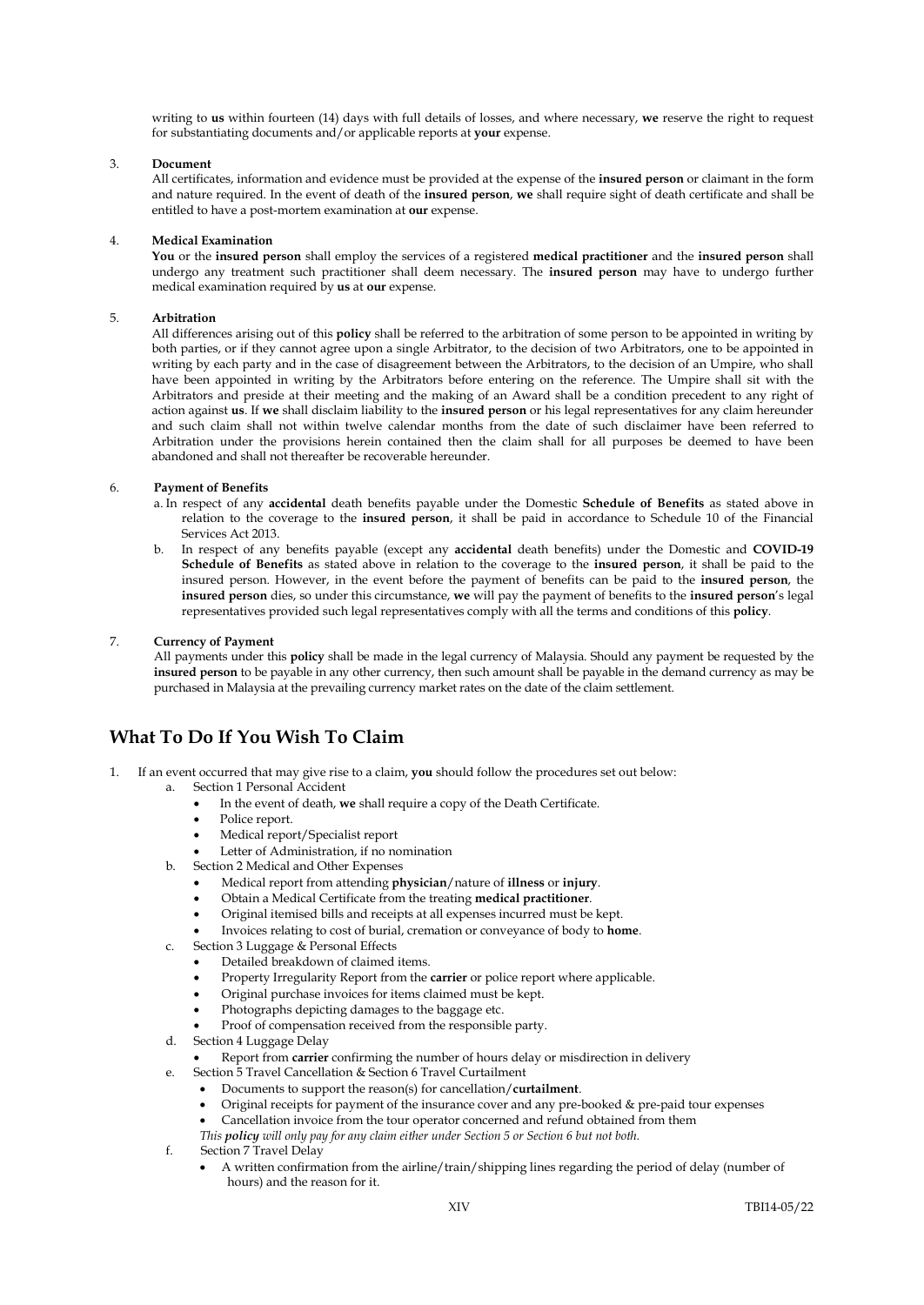writing to **us** within fourteen (14) days with full details of losses, and where necessary, **we** reserve the right to request for substantiating documents and/or applicable reports at **your** expense.

## 3. **Document**

All certificates, information and evidence must be provided at the expense of the **insured person** or claimant in the form and nature required. In the event of death of the **insured person**, **we** shall require sight of death certificate and shall be entitled to have a post-mortem examination at **our** expense.

# 4. **Medical Examination**

**You** or the **insured person** shall employ the services of a registered **medical practitioner** and the **insured person** shall undergo any treatment such practitioner shall deem necessary. The **insured person** may have to undergo further medical examination required by **us** at **our** expense.

## 5. **Arbitration**

All differences arising out of this **policy** shall be referred to the arbitration of some person to be appointed in writing by both parties, or if they cannot agree upon a single Arbitrator, to the decision of two Arbitrators, one to be appointed in writing by each party and in the case of disagreement between the Arbitrators, to the decision of an Umpire, who shall have been appointed in writing by the Arbitrators before entering on the reference. The Umpire shall sit with the Arbitrators and preside at their meeting and the making of an Award shall be a condition precedent to any right of action against **us**. If **we** shall disclaim liability to the **insured person** or his legal representatives for any claim hereunder and such claim shall not within twelve calendar months from the date of such disclaimer have been referred to Arbitration under the provisions herein contained then the claim shall for all purposes be deemed to have been abandoned and shall not thereafter be recoverable hereunder.

# 6. **Payment of Benefits**

- a. In respect of any **accidental** death benefits payable under the Domestic **Schedule of Benefits** as stated above in relation to the coverage to the **insured person**, it shall be paid in accordance to Schedule 10 of the Financial Services Act 2013.
- b. In respect of any benefits payable (except any **accidental** death benefits) under the Domestic and **COVID-19 Schedule of Benefits** as stated above in relation to the coverage to the **insured person**, it shall be paid to the insured person. However, in the event before the payment of benefits can be paid to the **insured person**, the **insured person** dies, so under this circumstance, **we** will pay the payment of benefits to the **insured person**'s legal representatives provided such legal representatives comply with all the terms and conditions of this **policy**.

## 7. **Currency of Payment**

All payments under this **policy** shall be made in the legal currency of Malaysia. Should any payment be requested by the **insured person** to be payable in any other currency, then such amount shall be payable in the demand currency as may be purchased in Malaysia at the prevailing currency market rates on the date of the claim settlement.

# **What To Do If You Wish To Claim**

- 1. If an event occurred that may give rise to a claim, **you** should follow the procedures set out below:
	- a. Section 1 Personal Accident
		- In the event of death, **we** shall require a copy of the Death Certificate.
		- Police report
		- Medical report/Specialist report
		- Letter of Administration, if no nomination
	- b. Section 2 Medical and Other Expenses
		- Medical report from attending **physician**/nature of **illness** or **injury**.
		- Obtain a Medical Certificate from the treating **medical practitioner**.
		- Original itemised bills and receipts at all expenses incurred must be kept.
		- Invoices relating to cost of burial, cremation or conveyance of body to **home**.
	- c. Section 3 Luggage & Personal Effects
		- Detailed breakdown of claimed items.
		- Property Irregularity Report from the **carrier** or police report where applicable.
		- Original purchase invoices for items claimed must be kept.
		- Photographs depicting damages to the baggage etc.
		- Proof of compensation received from the responsible party.
	- d. Section 4 Luggage Delay
	- Report from **carrier** confirming the number of hours delay or misdirection in delivery
	- e. Section 5 Travel Cancellation & Section 6 Travel Curtailment
		- Documents to support the reason(s) for cancellation/**curtailment**.
		- Original receipts for payment of the insurance cover and any pre-booked & pre-paid tour expenses
		- Cancellation invoice from the tour operator concerned and refund obtained from them
		- *This policy will only pay for any claim either under Section 5 or Section 6 but not both.*
	- f. Section 7 Travel Delay
		- A written confirmation from the airline/train/shipping lines regarding the period of delay (number of hours) and the reason for it.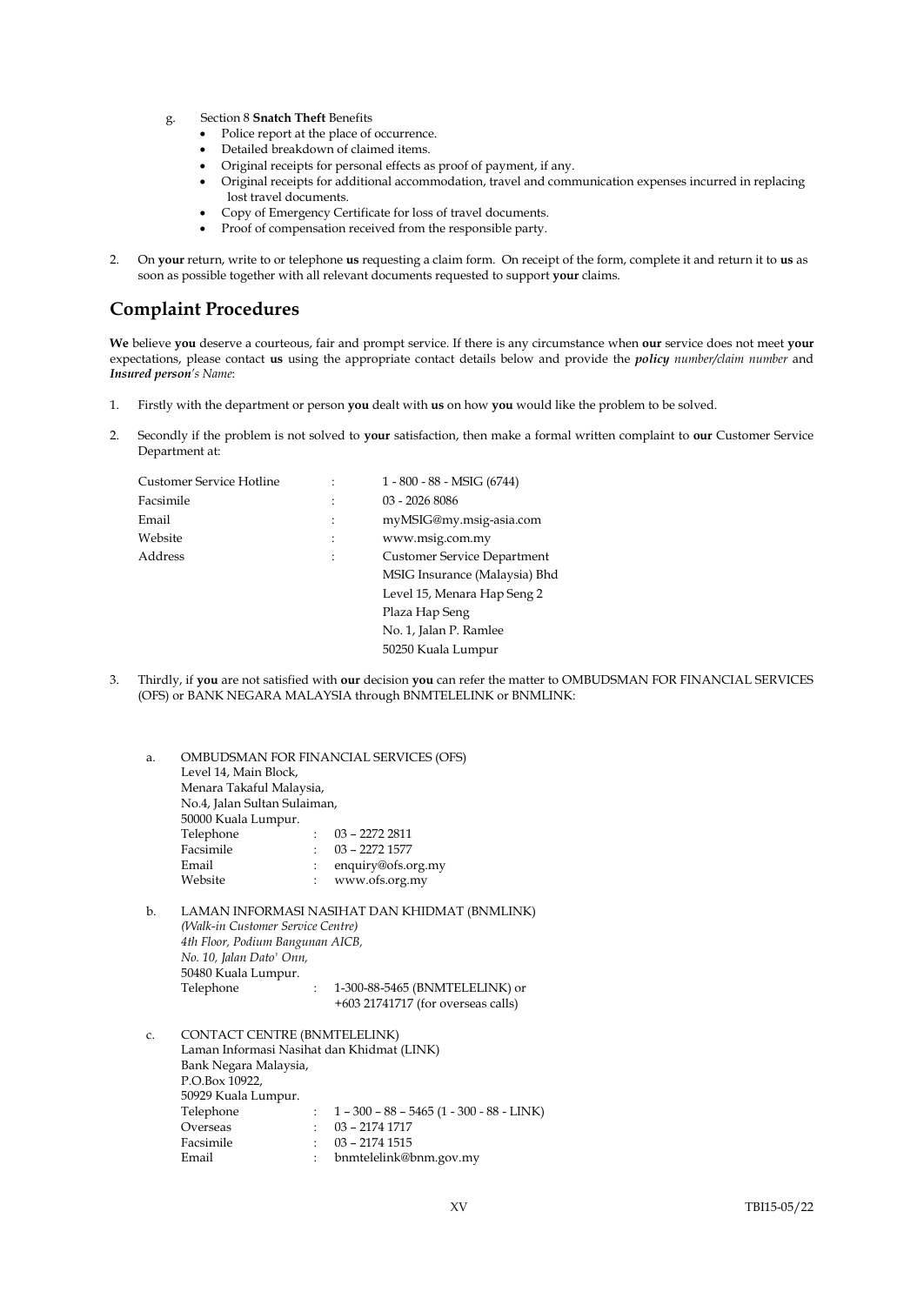- g. Section 8 **Snatch Theft** Benefits
	- Police report at the place of occurrence.
	- Detailed breakdown of claimed items.
	- Original receipts for personal effects as proof of payment, if any.
	- Original receipts for additional accommodation, travel and communication expenses incurred in replacing lost travel documents.
	- Copy of Emergency Certificate for loss of travel documents.
	- Proof of compensation received from the responsible party.
- 2. On **your** return, write to or telephone **us** requesting a claim form. On receipt of the form, complete it and return it to **us** as soon as possible together with all relevant documents requested to support **your** claims.

# **Complaint Procedures**

**We** believe **you** deserve a courteous, fair and prompt service. If there is any circumstance when **our** service does not meet **your** expectations, please contact **us** using the appropriate contact details below and provide the *policy number/claim number* and *Insured person's Name*:

- 1. Firstly with the department or person **you** dealt with **us** on how **you** would like the problem to be solved.
- 2. Secondly if the problem is not solved to **your** satisfaction, then make a formal written complaint to **our** Customer Service Department at:

| <b>Customer Service Hotline</b> |   | 1 - 800 - 88 - MSIG (6744)         |
|---------------------------------|---|------------------------------------|
| Facsimile                       |   | 03 - 2026 8086                     |
| Email                           | ÷ | myMSIG@my.msig-asia.com            |
| Website                         |   | www.msig.com.my                    |
| Address                         |   | <b>Customer Service Department</b> |
|                                 |   | MSIG Insurance (Malaysia) Bhd      |
|                                 |   | Level 15, Menara Hap Seng 2        |
|                                 |   | Plaza Hap Seng                     |
|                                 |   | No. 1, Jalan P. Ramlee             |
|                                 |   | 50250 Kuala Lumpur                 |

3. Thirdly, if **you** are not satisfied with **our** decision **you** can refer the matter to OMBUDSMAN FOR FINANCIAL SERVICES (OFS) or BANK NEGARA MALAYSIA through BNMTELELINK or BNMLINK:

| a.              | OMBUDSMAN FOR FINANCIAL SERVICES (OFS)                                             |                      |                                                                |  |  |  |
|-----------------|------------------------------------------------------------------------------------|----------------------|----------------------------------------------------------------|--|--|--|
|                 | Level 14, Main Block,                                                              |                      |                                                                |  |  |  |
|                 | Menara Takaful Malaysia,<br>No.4, Jalan Sultan Sulaiman,<br>50000 Kuala Lumpur.    |                      |                                                                |  |  |  |
|                 |                                                                                    |                      |                                                                |  |  |  |
|                 |                                                                                    |                      |                                                                |  |  |  |
|                 | Telephone                                                                          |                      | $\therefore$ 03 – 2272 2811                                    |  |  |  |
|                 | Facsimile                                                                          |                      | 03 – 2272 1577                                                 |  |  |  |
|                 | Email                                                                              |                      | enquiry@ofs.org.my                                             |  |  |  |
|                 | Website                                                                            |                      | www.ofs.org.my                                                 |  |  |  |
| b.              | LAMAN INFORMASI NASIHAT DAN KHIDMAT (BNMLINK)<br>(Walk-in Customer Service Centre) |                      |                                                                |  |  |  |
|                 | 4th Floor, Podium Bangunan AICB,                                                   |                      |                                                                |  |  |  |
|                 | No. 10, Jalan Dato' Onn,                                                           |                      |                                                                |  |  |  |
|                 | 50480 Kuala Lumpur.                                                                |                      |                                                                |  |  |  |
|                 | Telephone                                                                          | $\ddot{\phantom{a}}$ | 1-300-88-5465 (BNMTELELINK) or                                 |  |  |  |
|                 |                                                                                    |                      | +603 21741717 (for overseas calls)                             |  |  |  |
| $\mathcal{C}$ . | CONTACT CENTRE (BNMTELELINK)                                                       |                      |                                                                |  |  |  |
|                 |                                                                                    |                      |                                                                |  |  |  |
|                 | Laman Informasi Nasihat dan Khidmat (LINK)<br>Bank Negara Malaysia,                |                      |                                                                |  |  |  |
|                 | P.O.Box 10922,                                                                     |                      |                                                                |  |  |  |
|                 | 50929 Kuala Lumpur.                                                                |                      |                                                                |  |  |  |
|                 |                                                                                    |                      |                                                                |  |  |  |
|                 | Telephone<br>Overseas                                                              |                      | $1 - 300 - 88 - 5465 (1 - 300 - 88 - LINK)$<br>$03 - 21741717$ |  |  |  |
|                 | Facsimile                                                                          |                      | $03 - 2174$ 1515                                               |  |  |  |
|                 |                                                                                    |                      |                                                                |  |  |  |
|                 | Email                                                                              |                      | bnmtelelink@bnm.gov.my                                         |  |  |  |